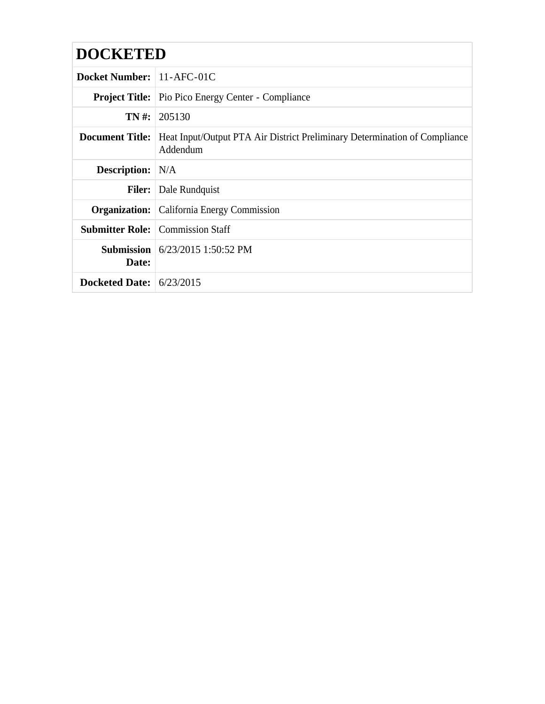# **DOCKETED**

| <b>Docket Number:</b> 11-AFC-01C |                                                                                        |
|----------------------------------|----------------------------------------------------------------------------------------|
|                                  | <b>Project Title:</b> Pio Pico Energy Center - Compliance                              |
|                                  | <b>TN</b> #: 205130                                                                    |
| <b>Document Title:</b>           | Heat Input/Output PTA Air District Preliminary Determination of Compliance<br>Addendum |
| <b>Description:</b> N/A          |                                                                                        |
|                                  | <b>Filer:</b> Dale Rundquist                                                           |
|                                  | <b>Organization:</b> California Energy Commission                                      |
|                                  | <b>Submitter Role:</b> Commission Staff                                                |
| Date:                            | <b>Submission</b> $6/23/2015$ 1:50:52 PM                                               |
| Docketed Date: $6/23/2015$       |                                                                                        |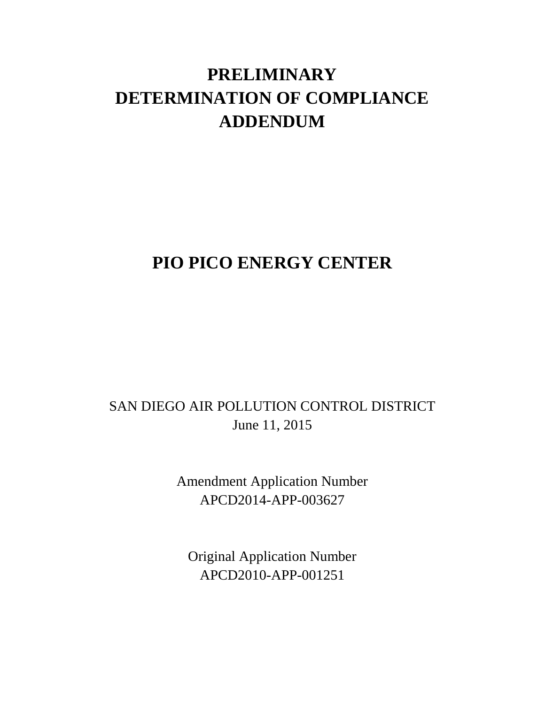# **PRELIMINARY DETERMINATION OF COMPLIANCE ADDENDUM**

# **PIO PICO ENERGY CENTER**

## SAN DIEGO AIR POLLUTION CONTROL DISTRICT June 11, 2015

Amendment Application Number APCD2014-APP-003627

Original Application Number APCD2010-APP-001251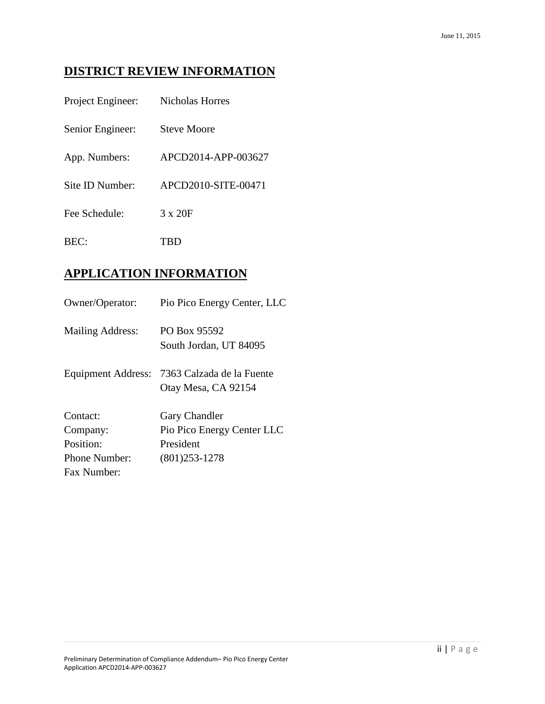## **DISTRICT REVIEW INFORMATION**

| Project Engineer: | Nicholas Horres     |
|-------------------|---------------------|
| Senior Engineer:  | <b>Steve Moore</b>  |
| App. Numbers:     | APCD2014-APP-003627 |
| Site ID Number:   | APCD2010-SITE-00471 |
| Fee Schedule:     | $3 \times 20F$      |
| BFC:              | TBD                 |

## **APPLICATION INFORMATION**

| Owner/Operator:    | Pio Pico Energy Center, LLC                      |
|--------------------|--------------------------------------------------|
| Mailing Address:   | PO Box 95592<br>South Jordan, UT 84095           |
| Equipment Address: | 7363 Calzada de la Fuente<br>Otay Mesa, CA 92154 |
| Contact:           | <b>Gary Chandler</b>                             |
| Company:           | Pio Pico Energy Center LLC                       |
| Position:          | President                                        |
| Phone Number:      | $(801)253 - 1278$                                |
| Fax Number:        |                                                  |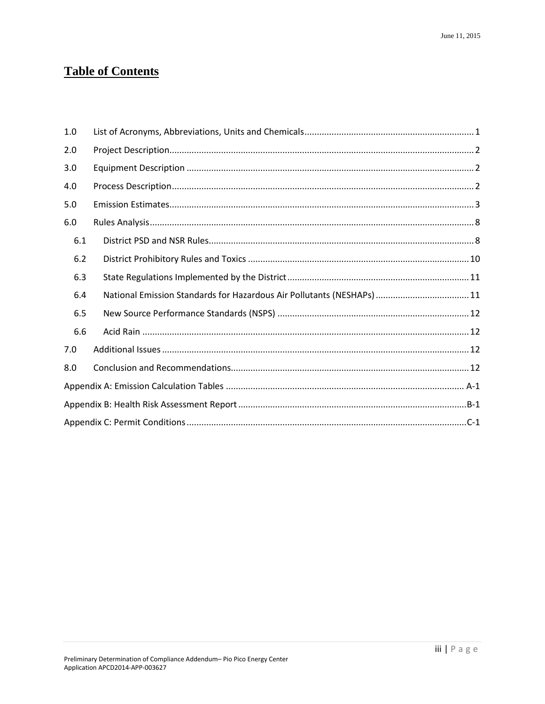## **Table of Contents**

| 1.0 |                                                                        |  |
|-----|------------------------------------------------------------------------|--|
| 2.0 |                                                                        |  |
| 3.0 |                                                                        |  |
| 4.0 |                                                                        |  |
| 5.0 |                                                                        |  |
| 6.0 |                                                                        |  |
| 6.1 |                                                                        |  |
| 6.2 |                                                                        |  |
| 6.3 |                                                                        |  |
| 6.4 | National Emission Standards for Hazardous Air Pollutants (NESHAPs)  11 |  |
| 6.5 |                                                                        |  |
| 6.6 |                                                                        |  |
| 7.0 |                                                                        |  |
| 8.0 |                                                                        |  |
|     |                                                                        |  |
|     |                                                                        |  |
|     |                                                                        |  |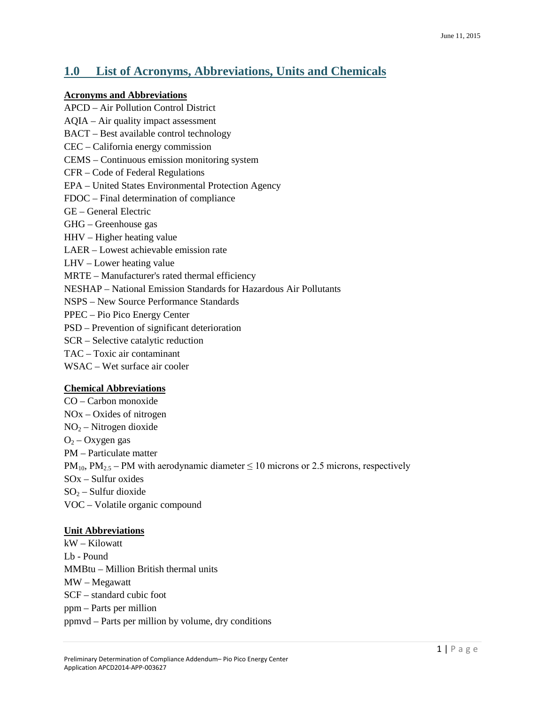### <span id="page-4-0"></span>**1.0 List of Acronyms, Abbreviations, Units and Chemicals**

#### **Acronyms and Abbreviations**

APCD – Air Pollution Control District AQIA – Air quality impact assessment BACT – Best available control technology CEC – California energy commission CEMS – Continuous emission monitoring system CFR – Code of Federal Regulations EPA – United States Environmental Protection Agency FDOC – Final determination of compliance GE – General Electric GHG – Greenhouse gas HHV – Higher heating value LAER – Lowest achievable emission rate LHV – Lower heating value MRTE – Manufacturer's rated thermal efficiency NESHAP – National Emission Standards for Hazardous Air Pollutants NSPS – New Source Performance Standards PPEC – Pio Pico Energy Center PSD – Prevention of significant deterioration SCR – Selective catalytic reduction TAC – Toxic air contaminant WSAC – Wet surface air cooler

#### **Chemical Abbreviations**

CO – Carbon monoxide NOx – Oxides of nitrogen  $NO<sub>2</sub> - Nitrogen dioxide$  $O<sub>2</sub> - Oxygen$  gas PM – Particulate matter  $PM_{10}$ ,  $PM_{2.5}$  – PM with aerodynamic diameter  $\leq 10$  microns or 2.5 microns, respectively SOx – Sulfur oxides  $SO_2$  – Sulfur dioxide VOC – Volatile organic compound

#### **Unit Abbreviations**

kW – Kilowatt Lb - Pound MMBtu – Million British thermal units MW – Megawatt SCF – standard cubic foot ppm – Parts per million ppmvd – Parts per million by volume, dry conditions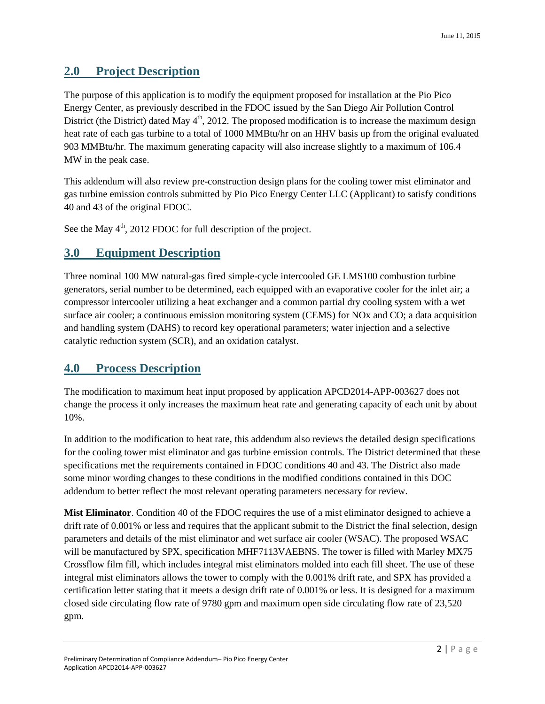### <span id="page-5-0"></span>**2.0 Project Description**

The purpose of this application is to modify the equipment proposed for installation at the Pio Pico Energy Center, as previously described in the FDOC issued by the San Diego Air Pollution Control District (the District) dated May  $4<sup>th</sup>$ , 2012. The proposed modification is to increase the maximum design heat rate of each gas turbine to a total of 1000 MMBtu/hr on an HHV basis up from the original evaluated 903 MMBtu/hr. The maximum generating capacity will also increase slightly to a maximum of 106.4 MW in the peak case.

This addendum will also review pre-construction design plans for the cooling tower mist eliminator and gas turbine emission controls submitted by Pio Pico Energy Center LLC (Applicant) to satisfy conditions 40 and 43 of the original FDOC.

See the May  $4<sup>th</sup>$ , 2012 FDOC for full description of the project.

### <span id="page-5-1"></span>**3.0 Equipment Description**

Three nominal 100 MW natural-gas fired simple-cycle intercooled GE LMS100 combustion turbine generators, serial number to be determined, each equipped with an evaporative cooler for the inlet air; a compressor intercooler utilizing a heat exchanger and a common partial dry cooling system with a wet surface air cooler; a continuous emission monitoring system (CEMS) for NOx and CO; a data acquisition and handling system (DAHS) to record key operational parameters; water injection and a selective catalytic reduction system (SCR), and an oxidation catalyst.

### <span id="page-5-2"></span>**4.0 Process Description**

The modification to maximum heat input proposed by application APCD2014-APP-003627 does not change the process it only increases the maximum heat rate and generating capacity of each unit by about 10%.

In addition to the modification to heat rate, this addendum also reviews the detailed design specifications for the cooling tower mist eliminator and gas turbine emission controls. The District determined that these specifications met the requirements contained in FDOC conditions 40 and 43. The District also made some minor wording changes to these conditions in the modified conditions contained in this DOC addendum to better reflect the most relevant operating parameters necessary for review.

**Mist Eliminator**. Condition 40 of the FDOC requires the use of a mist eliminator designed to achieve a drift rate of 0.001% or less and requires that the applicant submit to the District the final selection, design parameters and details of the mist eliminator and wet surface air cooler (WSAC). The proposed WSAC will be manufactured by SPX, specification MHF7113VAEBNS. The tower is filled with Marley MX75 Crossflow film fill, which includes integral mist eliminators molded into each fill sheet. The use of these integral mist eliminators allows the tower to comply with the 0.001% drift rate, and SPX has provided a certification letter stating that it meets a design drift rate of 0.001% or less. It is designed for a maximum closed side circulating flow rate of 9780 gpm and maximum open side circulating flow rate of 23,520 gpm.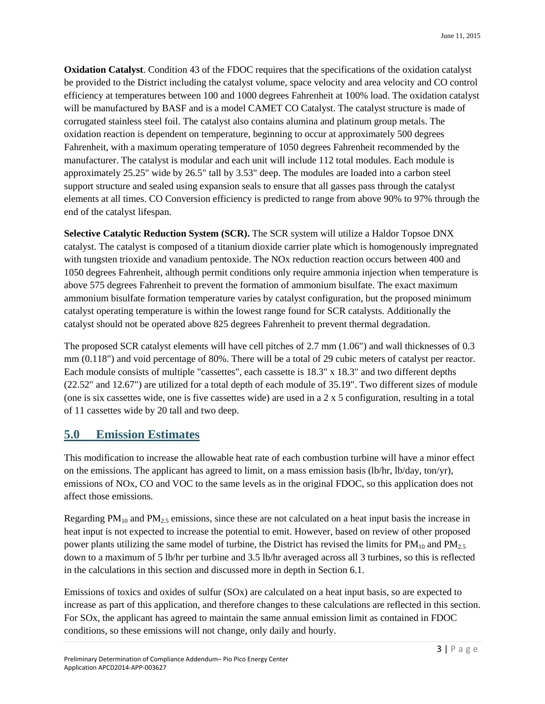**Oxidation Catalyst.** Condition 43 of the FDOC requires that the specifications of the oxidation catalyst be provided to the District including the catalyst volume, space velocity and area velocity and CO control efficiency at temperatures between 100 and 1000 degrees Fahrenheit at 100% load. The oxidation catalyst will be manufactured by BASF and is a model CAMET CO Catalyst. The catalyst structure is made of corrugated stainless steel foil. The catalyst also contains alumina and platinum group metals. The oxidation reaction is dependent on temperature, beginning to occur at approximately 500 degrees Fahrenheit, with a maximum operating temperature of 1050 degrees Fahrenheit recommended by the manufacturer. The catalyst is modular and each unit will include 112 total modules. Each module is approximately 25.25" wide by 26.5" tall by 3.53" deep. The modules are loaded into a carbon steel support structure and sealed using expansion seals to ensure that all gasses pass through the catalyst elements at all times. CO Conversion efficiency is predicted to range from above 90% to 97% through the end of the catalyst lifespan.

**Selective Catalytic Reduction System (SCR).** The SCR system will utilize a Haldor Topsoe DNX catalyst. The catalyst is composed of a titanium dioxide carrier plate which is homogenously impregnated with tungsten trioxide and vanadium pentoxide. The NOx reduction reaction occurs between 400 and 1050 degrees Fahrenheit, although permit conditions only require ammonia injection when temperature is above 575 degrees Fahrenheit to prevent the formation of ammonium bisulfate. The exact maximum ammonium bisulfate formation temperature varies by catalyst configuration, but the proposed minimum catalyst operating temperature is within the lowest range found for SCR catalysts. Additionally the catalyst should not be operated above 825 degrees Fahrenheit to prevent thermal degradation.

The proposed SCR catalyst elements will have cell pitches of 2.7 mm (1.06") and wall thicknesses of 0.3 mm (0.118") and void percentage of 80%. There will be a total of 29 cubic meters of catalyst per reactor. Each module consists of multiple "cassettes", each cassette is 18.3" x 18.3" and two different depths (22.52" and 12.67") are utilized for a total depth of each module of 35.19". Two different sizes of module (one is six cassettes wide, one is five cassettes wide) are used in a  $2 \times 5$  configuration, resulting in a total of 11 cassettes wide by 20 tall and two deep.

### <span id="page-6-0"></span>**5.0 Emission Estimates**

This modification to increase the allowable heat rate of each combustion turbine will have a minor effect on the emissions. The applicant has agreed to limit, on a mass emission basis (lb/hr, lb/day, ton/yr), emissions of NOx, CO and VOC to the same levels as in the original FDOC, so this application does not affect those emissions.

Regarding  $PM_{10}$  and  $PM_{2.5}$  emissions, since these are not calculated on a heat input basis the increase in heat input is not expected to increase the potential to emit. However, based on review of other proposed power plants utilizing the same model of turbine, the District has revised the limits for  $PM_{10}$  and  $PM_{2.5}$ down to a maximum of 5 lb/hr per turbine and 3.5 lb/hr averaged across all 3 turbines, so this is reflected in the calculations in this section and discussed more in depth in Section 6.1.

Emissions of toxics and oxides of sulfur (SOx) are calculated on a heat input basis, so are expected to increase as part of this application, and therefore changes to these calculations are reflected in this section. For SOx, the applicant has agreed to maintain the same annual emission limit as contained in FDOC conditions, so these emissions will not change, only daily and hourly.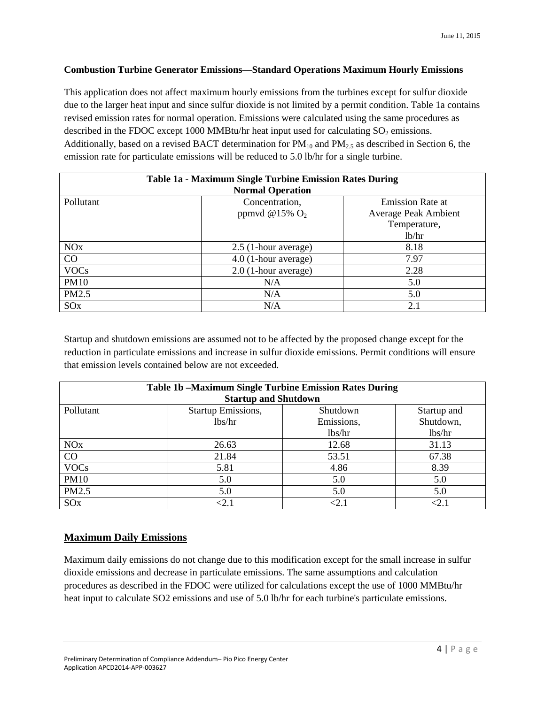#### **Combustion Turbine Generator Emissions—Standard Operations Maximum Hourly Emissions**

This application does not affect maximum hourly emissions from the turbines except for sulfur dioxide due to the larger heat input and since sulfur dioxide is not limited by a permit condition. Table 1a contains revised emission rates for normal operation. Emissions were calculated using the same procedures as described in the FDOC except 1000 MMBtu/hr heat input used for calculating  $SO<sub>2</sub>$  emissions. Additionally, based on a revised BACT determination for  $PM_{10}$  and  $PM_{2.5}$  as described in Section 6, the emission rate for particulate emissions will be reduced to 5.0 lb/hr for a single turbine.

| Table 1a - Maximum Single Turbine Emission Rates During<br><b>Normal Operation</b> |                        |                             |  |
|------------------------------------------------------------------------------------|------------------------|-----------------------------|--|
| Pollutant                                                                          | Concentration,         | <b>Emission Rate at</b>     |  |
|                                                                                    | ppmvd @15% $O2$        | <b>Average Peak Ambient</b> |  |
|                                                                                    |                        | Temperature,                |  |
|                                                                                    |                        | 1b/hr                       |  |
| <b>NO<sub>x</sub></b>                                                              | 2.5 (1-hour average)   | 8.18                        |  |
| $\rm CO$                                                                           | 4.0 (1-hour average)   | 7.97                        |  |
| <b>VOCs</b>                                                                        | $2.0$ (1-hour average) | 2.28                        |  |
| <b>PM10</b>                                                                        | N/A                    | 5.0                         |  |
| PM2.5                                                                              | N/A                    | 5.0                         |  |
| SO <sub>x</sub>                                                                    | N/A                    | 2.1                         |  |

Startup and shutdown emissions are assumed not to be affected by the proposed change except for the reduction in particulate emissions and increase in sulfur dioxide emissions. Permit conditions will ensure that emission levels contained below are not exceeded.

| <b>Table 1b -Maximum Single Turbine Emission Rates During</b> |                             |            |             |
|---------------------------------------------------------------|-----------------------------|------------|-------------|
|                                                               | <b>Startup and Shutdown</b> |            |             |
| Pollutant                                                     | <b>Startup Emissions,</b>   | Shutdown   | Startup and |
|                                                               | lbs/hr                      | Emissions, | Shutdown,   |
|                                                               |                             | lbs/hr     | lbs/hr      |
| NOx                                                           | 26.63                       | 12.68      | 31.13       |
| CO                                                            | 21.84                       | 53.51      | 67.38       |
| <b>VOCs</b>                                                   | 5.81                        | 4.86       | 8.39        |
| <b>PM10</b>                                                   | 5.0                         | 5.0        | 5.0         |
| PM2.5                                                         | 5.0                         | 5.0        | 5.0         |
| SO <sub>x</sub>                                               | $<$ 2.1                     | $<$ 2.1    | <2.1        |

#### **Maximum Daily Emissions**

Maximum daily emissions do not change due to this modification except for the small increase in sulfur dioxide emissions and decrease in particulate emissions. The same assumptions and calculation procedures as described in the FDOC were utilized for calculations except the use of 1000 MMBtu/hr heat input to calculate SO2 emissions and use of 5.0 lb/hr for each turbine's particulate emissions.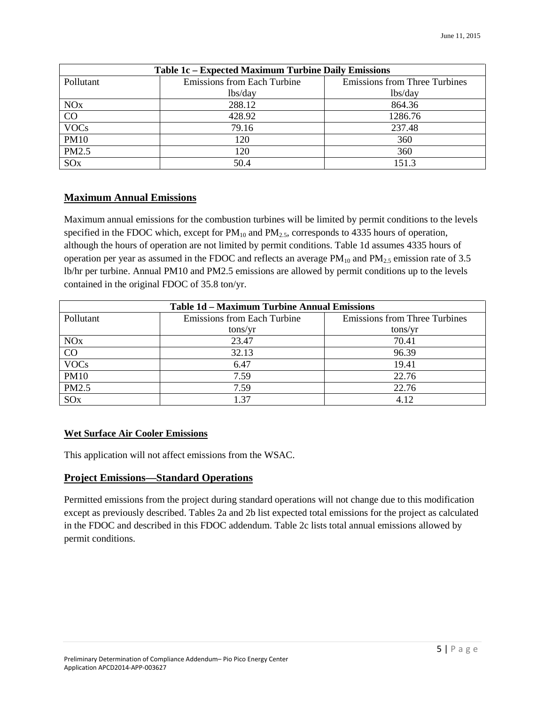| Table 1c - Expected Maximum Turbine Daily Emissions |                             |                                      |  |
|-----------------------------------------------------|-----------------------------|--------------------------------------|--|
| Pollutant                                           | Emissions from Each Turbine | <b>Emissions from Three Turbines</b> |  |
|                                                     | lbs/day                     | lbs/day                              |  |
| <b>NO<sub>x</sub></b>                               | 288.12                      | 864.36                               |  |
| CO                                                  | 428.92                      | 1286.76                              |  |
| <b>VOCs</b>                                         | 79.16                       | 237.48                               |  |
| <b>PM10</b>                                         | 120                         | 360                                  |  |
| PM2.5                                               | 120                         | 360                                  |  |
| SO <sub>x</sub>                                     | 50.4                        | 151.3                                |  |

#### **Maximum Annual Emissions**

Maximum annual emissions for the combustion turbines will be limited by permit conditions to the levels specified in the FDOC which, except for  $PM_{10}$  and  $PM_{2.5}$ , corresponds to 4335 hours of operation, although the hours of operation are not limited by permit conditions. Table 1d assumes 4335 hours of operation per year as assumed in the FDOC and reflects an average  $PM_{10}$  and  $PM_{2.5}$  emission rate of 3.5 lb/hr per turbine. Annual PM10 and PM2.5 emissions are allowed by permit conditions up to the levels contained in the original FDOC of 35.8 ton/yr.

| <b>Table 1d - Maximum Turbine Annual Emissions</b> |                                    |                                      |  |
|----------------------------------------------------|------------------------------------|--------------------------------------|--|
| Pollutant                                          | <b>Emissions from Each Turbine</b> | <b>Emissions from Three Turbines</b> |  |
|                                                    | tons/yr                            | tons/yr                              |  |
| <b>NO<sub>x</sub></b>                              | 23.47                              | 70.41                                |  |
| CO                                                 | 32.13                              | 96.39                                |  |
| <b>VOCs</b>                                        | 6.47                               | 19.41                                |  |
| <b>PM10</b>                                        | 7.59                               | 22.76                                |  |
| PM2.5                                              | 7.59                               | 22.76                                |  |
| SO <sub>x</sub>                                    | 1.37                               | 4.12                                 |  |

#### **Wet Surface Air Cooler Emissions**

This application will not affect emissions from the WSAC.

#### **Project Emissions—Standard Operations**

Permitted emissions from the project during standard operations will not change due to this modification except as previously described. Tables 2a and 2b list expected total emissions for the project as calculated in the FDOC and described in this FDOC addendum. Table 2c lists total annual emissions allowed by permit conditions.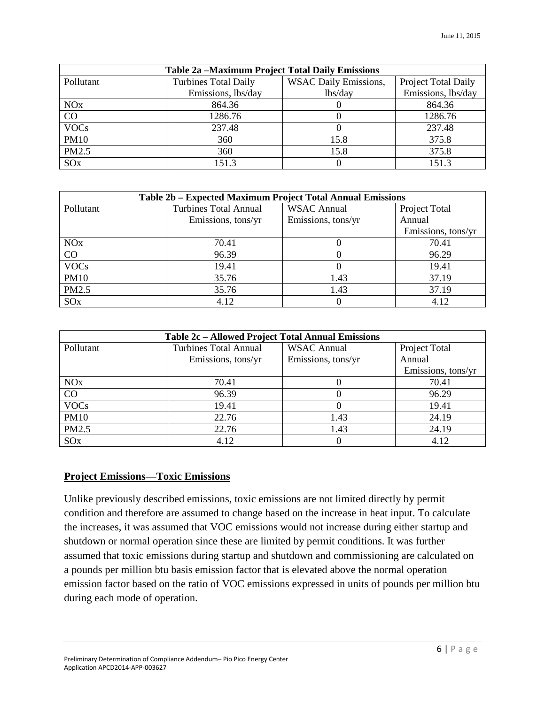| <b>Table 2a -Maximum Project Total Daily Emissions</b> |                             |                              |                     |
|--------------------------------------------------------|-----------------------------|------------------------------|---------------------|
| Pollutant                                              | <b>Turbines Total Daily</b> | <b>WSAC Daily Emissions,</b> | Project Total Daily |
|                                                        | Emissions, lbs/day          | lbs/day                      | Emissions, lbs/day  |
| <b>NO<sub>x</sub></b>                                  | 864.36                      |                              | 864.36              |
| CO                                                     | 1286.76                     |                              | 1286.76             |
| <b>VOCs</b>                                            | 237.48                      |                              | 237.48              |
| <b>PM10</b>                                            | 360                         | 15.8                         | 375.8               |
| PM2.5                                                  | 360                         | 15.8                         | 375.8               |
| SO <sub>x</sub>                                        | 151.3                       |                              | 151.3               |

| Table 2b – Expected Maximum Project Total Annual Emissions |                              |                    |                    |
|------------------------------------------------------------|------------------------------|--------------------|--------------------|
| Pollutant                                                  | <b>Turbines Total Annual</b> | <b>WSAC Annual</b> | Project Total      |
|                                                            | Emissions, tons/yr           | Emissions, tons/yr | Annual             |
|                                                            |                              |                    | Emissions, tons/yr |
| <b>NO<sub>x</sub></b>                                      | 70.41                        |                    | 70.41              |
| CO                                                         | 96.39                        |                    | 96.29              |
| <b>VOCs</b>                                                | 19.41                        |                    | 19.41              |
| <b>PM10</b>                                                | 35.76                        | 1.43               | 37.19              |
| PM2.5                                                      | 35.76                        | 1.43               | 37.19              |
| SO <sub>x</sub>                                            | 4.12                         |                    | 4.12               |

| Table 2c - Allowed Project Total Annual Emissions |                              |                    |                    |
|---------------------------------------------------|------------------------------|--------------------|--------------------|
| Pollutant                                         | <b>Turbines Total Annual</b> | <b>WSAC Annual</b> | Project Total      |
|                                                   | Emissions, tons/yr           | Emissions, tons/yr | Annual             |
|                                                   |                              |                    | Emissions, tons/yr |
| <b>NO<sub>x</sub></b>                             | 70.41                        |                    | 70.41              |
| CO                                                | 96.39                        |                    | 96.29              |
| <b>VOCs</b>                                       | 19.41                        |                    | 19.41              |
| <b>PM10</b>                                       | 22.76                        | 1.43               | 24.19              |
| PM2.5                                             | 22.76                        | 1.43               | 24.19              |
| SO <sub>x</sub>                                   | 4.12                         |                    | 4.12               |

### **Project Emissions—Toxic Emissions**

Unlike previously described emissions, toxic emissions are not limited directly by permit condition and therefore are assumed to change based on the increase in heat input. To calculate the increases, it was assumed that VOC emissions would not increase during either startup and shutdown or normal operation since these are limited by permit conditions. It was further assumed that toxic emissions during startup and shutdown and commissioning are calculated on a pounds per million btu basis emission factor that is elevated above the normal operation emission factor based on the ratio of VOC emissions expressed in units of pounds per million btu during each mode of operation.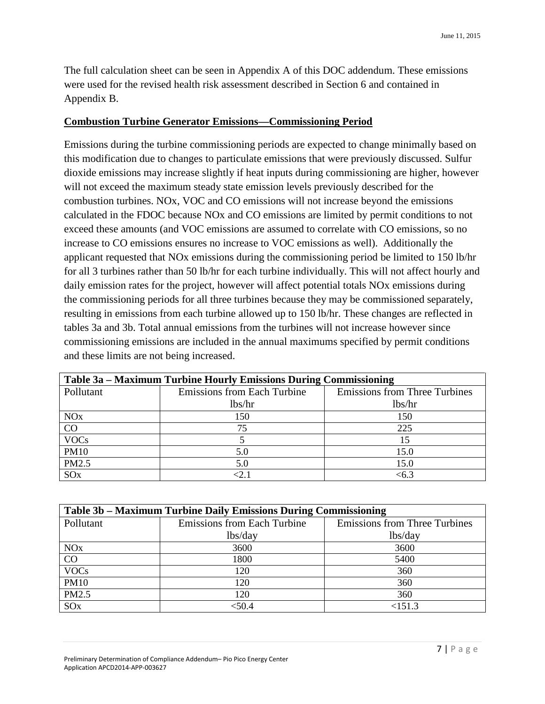The full calculation sheet can be seen in Appendix A of this DOC addendum. These emissions were used for the revised health risk assessment described in Section 6 and contained in Appendix B.

#### **Combustion Turbine Generator Emissions—Commissioning Period**

Emissions during the turbine commissioning periods are expected to change minimally based on this modification due to changes to particulate emissions that were previously discussed. Sulfur dioxide emissions may increase slightly if heat inputs during commissioning are higher, however will not exceed the maximum steady state emission levels previously described for the combustion turbines. NOx, VOC and CO emissions will not increase beyond the emissions calculated in the FDOC because NOx and CO emissions are limited by permit conditions to not exceed these amounts (and VOC emissions are assumed to correlate with CO emissions, so no increase to CO emissions ensures no increase to VOC emissions as well). Additionally the applicant requested that NOx emissions during the commissioning period be limited to 150 lb/hr for all 3 turbines rather than 50 lb/hr for each turbine individually. This will not affect hourly and daily emission rates for the project, however will affect potential totals NOx emissions during the commissioning periods for all three turbines because they may be commissioned separately, resulting in emissions from each turbine allowed up to 150 lb/hr. These changes are reflected in tables 3a and 3b. Total annual emissions from the turbines will not increase however since commissioning emissions are included in the annual maximums specified by permit conditions and these limits are not being increased.

| Table 3a – Maximum Turbine Hourly Emissions During Commissioning |                                    |                                      |  |
|------------------------------------------------------------------|------------------------------------|--------------------------------------|--|
| Pollutant                                                        | <b>Emissions from Each Turbine</b> | <b>Emissions from Three Turbines</b> |  |
|                                                                  | lbs/hr                             | lbs/hr                               |  |
| <b>NO<sub>x</sub></b>                                            | 150                                | 150                                  |  |
| CO                                                               | 75                                 | 225                                  |  |
| <b>VOCs</b>                                                      |                                    | 15                                   |  |
| <b>PM10</b>                                                      | 5.0                                | 15.0                                 |  |
| PM2.5                                                            | 5.0                                | 15.0                                 |  |
| SO <sub>x</sub>                                                  |                                    | <6.3                                 |  |

| Table 3b – Maximum Turbine Daily Emissions During Commissioning |                                    |                                      |  |  |  |  |
|-----------------------------------------------------------------|------------------------------------|--------------------------------------|--|--|--|--|
| Pollutant                                                       | <b>Emissions from Each Turbine</b> | <b>Emissions from Three Turbines</b> |  |  |  |  |
|                                                                 | lbs/day                            | lbs/day                              |  |  |  |  |
| <b>NO<sub>x</sub></b>                                           | 3600                               | 3600                                 |  |  |  |  |
| CO                                                              | 1800                               | 5400                                 |  |  |  |  |
| <b>VOCs</b>                                                     | 120                                | 360                                  |  |  |  |  |
| <b>PM10</b>                                                     | 120                                | 360                                  |  |  |  |  |
| PM2.5                                                           | 120                                | 360                                  |  |  |  |  |
| SO <sub>x</sub>                                                 | <50.4                              | <151.3                               |  |  |  |  |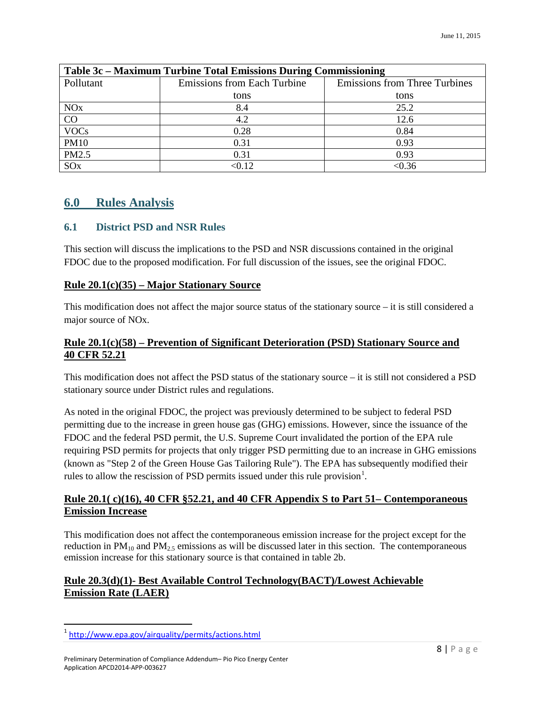| Table 3c – Maximum Turbine Total Emissions During Commissioning |                                    |                                      |  |  |  |  |
|-----------------------------------------------------------------|------------------------------------|--------------------------------------|--|--|--|--|
| Pollutant                                                       | <b>Emissions from Each Turbine</b> | <b>Emissions from Three Turbines</b> |  |  |  |  |
|                                                                 | tons                               | tons                                 |  |  |  |  |
| <b>NO<sub>x</sub></b>                                           | 8.4                                | 25.2                                 |  |  |  |  |
| CO                                                              | 4.2                                | 12.6                                 |  |  |  |  |
| <b>VOCs</b>                                                     | 0.28                               | 0.84                                 |  |  |  |  |
| <b>PM10</b>                                                     | 0.31                               | 0.93                                 |  |  |  |  |
| PM2.5                                                           | 0.31                               | 0.93                                 |  |  |  |  |
| SO <sub>x</sub>                                                 | < 0.12                             | < 0.36                               |  |  |  |  |

#### <span id="page-11-0"></span>**6.0 Rules Analysis**

#### <span id="page-11-1"></span>**6.1 District PSD and NSR Rules**

This section will discuss the implications to the PSD and NSR discussions contained in the original FDOC due to the proposed modification. For full discussion of the issues, see the original FDOC.

#### **Rule 20.1(c)(35) – Major Stationary Source**

This modification does not affect the major source status of the stationary source – it is still considered a major source of NOx.

#### **Rule 20.1(c)(58) – Prevention of Significant Deterioration (PSD) Stationary Source and 40 CFR 52.21**

This modification does not affect the PSD status of the stationary source – it is still not considered a PSD stationary source under District rules and regulations.

As noted in the original FDOC, the project was previously determined to be subject to federal PSD permitting due to the increase in green house gas (GHG) emissions. However, since the issuance of the FDOC and the federal PSD permit, the U.S. Supreme Court invalidated the portion of the EPA rule requiring PSD permits for projects that only trigger PSD permitting due to an increase in GHG emissions (known as "Step 2 of the Green House Gas Tailoring Rule"). The EPA has subsequently modified their rules to allow the rescission of PSD permits issued under this rule provision<sup>[1](#page-11-2)</sup>.

#### **Rule 20.1( c)(16), 40 CFR §52.21, and 40 CFR Appendix S to Part 51– Contemporaneous Emission Increase**

This modification does not affect the contemporaneous emission increase for the project except for the reduction in  $PM_{10}$  and  $PM_{2.5}$  emissions as will be discussed later in this section. The contemporaneous emission increase for this stationary source is that contained in table 2b.

#### **Rule 20.3(d)(1)- Best Available Control Technology(BACT)/Lowest Achievable Emission Rate (LAER)**

l

<span id="page-11-2"></span><sup>&</sup>lt;sup>1</sup><http://www.epa.gov/airquality/permits/actions.html>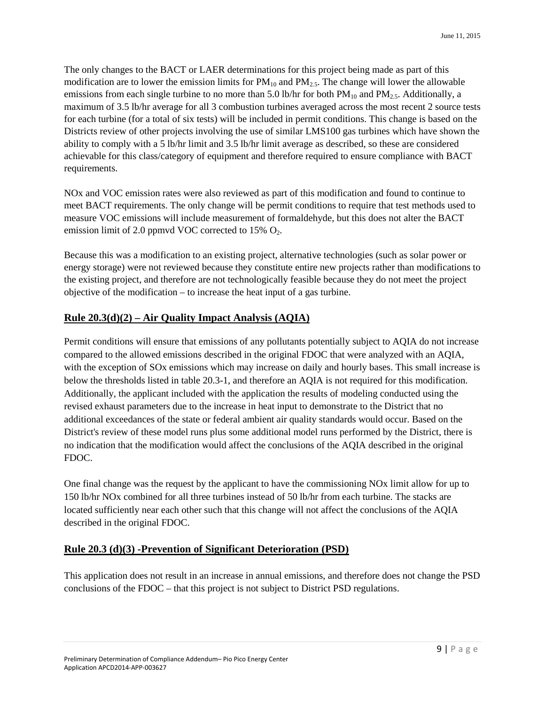The only changes to the BACT or LAER determinations for this project being made as part of this modification are to lower the emission limits for  $PM_{10}$  and  $PM_{2.5}$ . The change will lower the allowable emissions from each single turbine to no more than 5.0 lb/hr for both  $PM_{10}$  and  $PM_{2.5}$ . Additionally, a maximum of 3.5 lb/hr average for all 3 combustion turbines averaged across the most recent 2 source tests for each turbine (for a total of six tests) will be included in permit conditions. This change is based on the Districts review of other projects involving the use of similar LMS100 gas turbines which have shown the ability to comply with a 5 lb/hr limit and 3.5 lb/hr limit average as described, so these are considered achievable for this class/category of equipment and therefore required to ensure compliance with BACT requirements.

NOx and VOC emission rates were also reviewed as part of this modification and found to continue to meet BACT requirements. The only change will be permit conditions to require that test methods used to measure VOC emissions will include measurement of formaldehyde, but this does not alter the BACT emission limit of 2.0 ppmvd VOC corrected to  $15\%$  O<sub>2</sub>.

Because this was a modification to an existing project, alternative technologies (such as solar power or energy storage) were not reviewed because they constitute entire new projects rather than modifications to the existing project, and therefore are not technologically feasible because they do not meet the project objective of the modification – to increase the heat input of a gas turbine.

#### **Rule 20.3(d)(2) – Air Quality Impact Analysis (AQIA)**

Permit conditions will ensure that emissions of any pollutants potentially subject to AQIA do not increase compared to the allowed emissions described in the original FDOC that were analyzed with an AQIA, with the exception of SO<sub>x</sub> emissions which may increase on daily and hourly bases. This small increase is below the thresholds listed in table 20.3-1, and therefore an AQIA is not required for this modification. Additionally, the applicant included with the application the results of modeling conducted using the revised exhaust parameters due to the increase in heat input to demonstrate to the District that no additional exceedances of the state or federal ambient air quality standards would occur. Based on the District's review of these model runs plus some additional model runs performed by the District, there is no indication that the modification would affect the conclusions of the AQIA described in the original FDOC.

One final change was the request by the applicant to have the commissioning NOx limit allow for up to 150 lb/hr NOx combined for all three turbines instead of 50 lb/hr from each turbine. The stacks are located sufficiently near each other such that this change will not affect the conclusions of the AQIA described in the original FDOC.

#### **Rule 20.3 (d)(3) -Prevention of Significant Deterioration (PSD)**

This application does not result in an increase in annual emissions, and therefore does not change the PSD conclusions of the FDOC – that this project is not subject to District PSD regulations.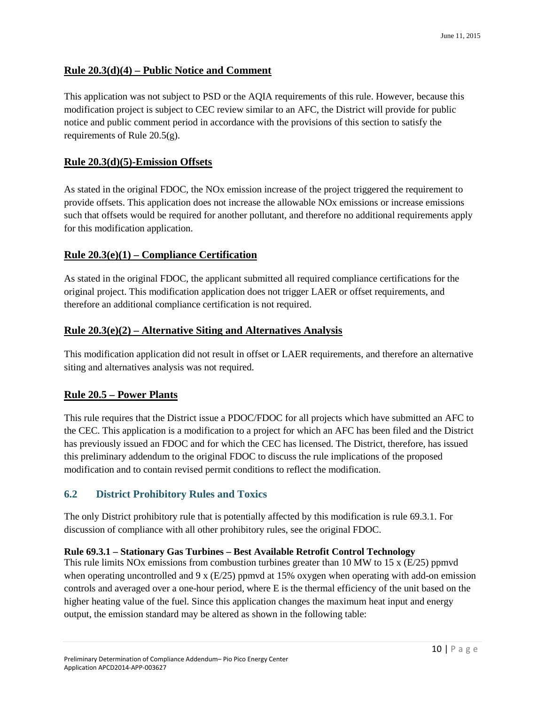#### **Rule 20.3(d)(4) – Public Notice and Comment**

This application was not subject to PSD or the AQIA requirements of this rule. However, because this modification project is subject to CEC review similar to an AFC, the District will provide for public notice and public comment period in accordance with the provisions of this section to satisfy the requirements of Rule 20.5(g).

#### **Rule 20.3(d)(5)-Emission Offsets**

As stated in the original FDOC, the NOx emission increase of the project triggered the requirement to provide offsets. This application does not increase the allowable NOx emissions or increase emissions such that offsets would be required for another pollutant, and therefore no additional requirements apply for this modification application.

#### **Rule 20.3(e)(1) – Compliance Certification**

As stated in the original FDOC, the applicant submitted all required compliance certifications for the original project. This modification application does not trigger LAER or offset requirements, and therefore an additional compliance certification is not required.

#### **Rule 20.3(e)(2) – Alternative Siting and Alternatives Analysis**

This modification application did not result in offset or LAER requirements, and therefore an alternative siting and alternatives analysis was not required.

#### **Rule 20.5 – Power Plants**

This rule requires that the District issue a PDOC/FDOC for all projects which have submitted an AFC to the CEC. This application is a modification to a project for which an AFC has been filed and the District has previously issued an FDOC and for which the CEC has licensed. The District, therefore, has issued this preliminary addendum to the original FDOC to discuss the rule implications of the proposed modification and to contain revised permit conditions to reflect the modification.

#### <span id="page-13-0"></span>**6.2 District Prohibitory Rules and Toxics**

The only District prohibitory rule that is potentially affected by this modification is rule 69.3.1. For discussion of compliance with all other prohibitory rules, see the original FDOC.

#### **Rule 69.3.1 – Stationary Gas Turbines – Best Available Retrofit Control Technology**

This rule limits NOx emissions from combustion turbines greater than 10 MW to 15 x ( $E/25$ ) ppmvd when operating uncontrolled and 9 x  $(E/25)$  ppmvd at 15% oxygen when operating with add-on emission controls and averaged over a one-hour period, where E is the thermal efficiency of the unit based on the higher heating value of the fuel. Since this application changes the maximum heat input and energy output, the emission standard may be altered as shown in the following table: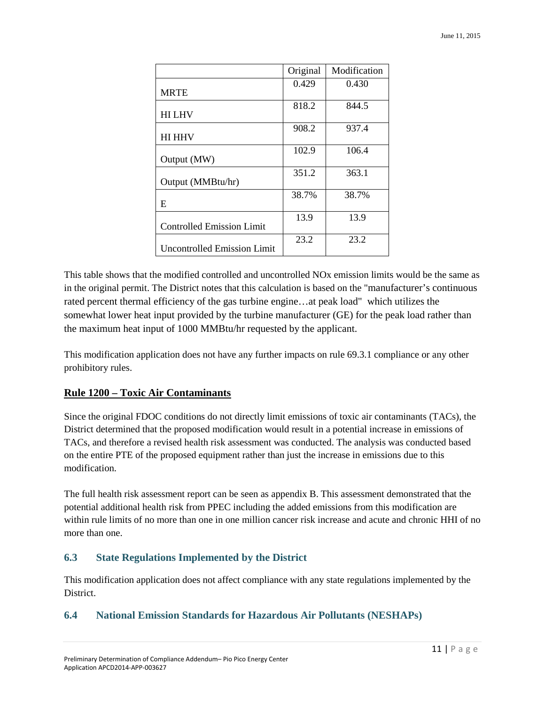|                                    | Original | Modification |
|------------------------------------|----------|--------------|
| <b>MRTE</b>                        | 0.429    | 0.430        |
| <b>HILHV</b>                       | 818.2    | 844.5        |
| <b>HI HHV</b>                      | 908.2    | 937.4        |
| Output (MW)                        | 102.9    | 106.4        |
| Output (MMBtu/hr)                  | 351.2    | 363.1        |
| E                                  | 38.7%    | 38.7%        |
| <b>Controlled Emission Limit</b>   | 13.9     | 13.9         |
| <b>Uncontrolled Emission Limit</b> | 23.2     | 23.2         |

This table shows that the modified controlled and uncontrolled NOx emission limits would be the same as in the original permit. The District notes that this calculation is based on the "manufacturer's continuous rated percent thermal efficiency of the gas turbine engine…at peak load" which utilizes the somewhat lower heat input provided by the turbine manufacturer (GE) for the peak load rather than the maximum heat input of 1000 MMBtu/hr requested by the applicant.

This modification application does not have any further impacts on rule 69.3.1 compliance or any other prohibitory rules.

#### **Rule 1200 – Toxic Air Contaminants**

Since the original FDOC conditions do not directly limit emissions of toxic air contaminants (TACs), the District determined that the proposed modification would result in a potential increase in emissions of TACs, and therefore a revised health risk assessment was conducted. The analysis was conducted based on the entire PTE of the proposed equipment rather than just the increase in emissions due to this modification.

The full health risk assessment report can be seen as appendix B. This assessment demonstrated that the potential additional health risk from PPEC including the added emissions from this modification are within rule limits of no more than one in one million cancer risk increase and acute and chronic HHI of no more than one.

#### <span id="page-14-0"></span>**6.3 State Regulations Implemented by the District**

This modification application does not affect compliance with any state regulations implemented by the District.

#### <span id="page-14-1"></span>**6.4 National Emission Standards for Hazardous Air Pollutants (NESHAPs)**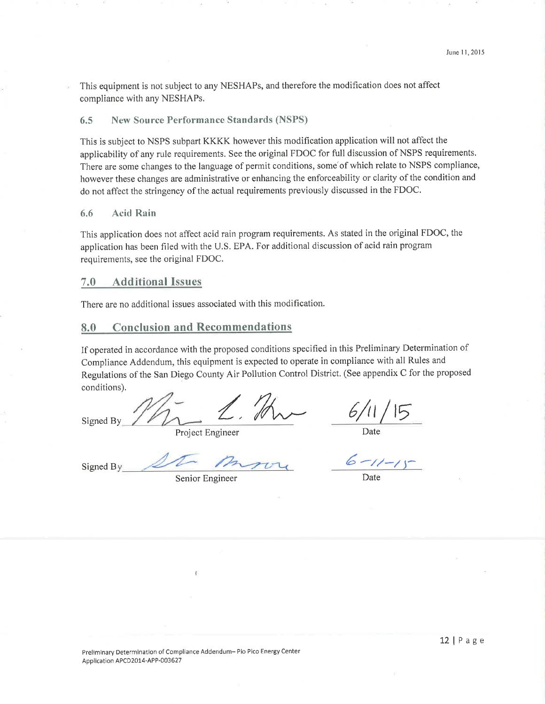This equipment is not subject to any NESHAPs, and therefore the modification does not affect compliance with any NESHAPs.

#### 6.5 **New Source Performance Standards (NSPS)**

This is subject to NSPS subpart KKKK however this modification application will not affect the applicability of any rule requirements. See the original FDOC for full discussion of NSPS requirements. There are some changes to the language of permit conditions, some of which relate to NSPS compliance, however these changes are administrative or enhancing the enforceability or clarity of the condition and do not affect the stringency of the actual requirements previously discussed in the FDOC.

#### **Acid Rain** 6.6

This application does not affect acid rain program requirements. As stated in the original FDOC, the application has been filed with the U.S. EPA. For additional discussion of acid rain program requirements, see the original FDOC.

#### **Additional Issues**  $7.0$

There are no additional issues associated with this modification.

#### **Conclusion and Recommendations** 8.0

If operated in accordance with the proposed conditions specified in this Preliminary Determination of Compliance Addendum, this equipment is expected to operate in compliance with all Rules and Regulations of the San Diego County Air Pollution Control District. (See appendix C for the proposed conditions).

Signed By

Project Engineer

Signed By

Senior Engineer

 $6 - 11 - 11$ 

Date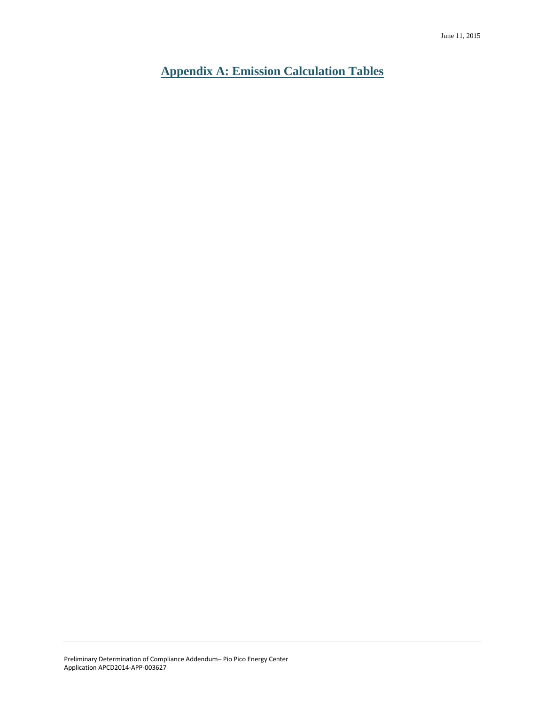<span id="page-16-0"></span>**Appendix A: Emission Calculation Tables**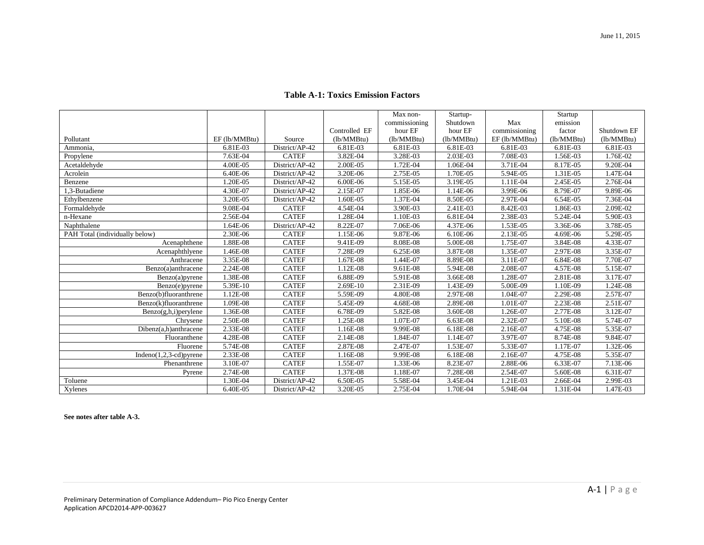|                                |               |                |               | Max non-      | Startup-   |               | Startup    |             |
|--------------------------------|---------------|----------------|---------------|---------------|------------|---------------|------------|-------------|
|                                |               |                |               | commissioning | Shutdown   | Max           | emission   |             |
|                                |               |                | Controlled EF | hour EF       | hour EF    | commissioning | factor     | Shutdown EF |
| Pollutant                      | EF (lb/MMBtu) | Source         | (lb/MMBtu)    | (lb/MMBtu)    | (lb/MMBtu) | EF (lb/MMBtu) | (lb/MMBtu) | (lb/MMBtu)  |
| Ammonia,                       | 6.81E-03      | District/AP-42 | 6.81E-03      | 6.81E-03      | 6.81E-03   | 6.81E-03      | 6.81E-03   | 6.81E-03    |
| Propylene                      | 7.63E-04      | <b>CATEF</b>   | 3.82E-04      | 3.28E-03      | 2.03E-03   | 7.08E-03      | 1.56E-03   | 1.76E-02    |
| Acetaldehyde                   | 4.00E-05      | District/AP-42 | 2.00E-05      | 1.72E-04      | 1.06E-04   | 3.71E-04      | 8.17E-05   | 9.20E-04    |
| Acrolein                       | 6.40E-06      | District/AP-42 | 3.20E-06      | 2.75E-05      | 1.70E-05   | 5.94E-05      | 1.31E-05   | 1.47E-04    |
| Benzene                        | 1.20E-05      | District/AP-42 | 6.00E-06      | 5.15E-05      | 3.19E-05   | 1.11E-04      | 2.45E-05   | 2.76E-04    |
| 1.3-Butadiene                  | 4.30E-07      | District/AP-42 | 2.15E-07      | 1.85E-06      | 1.14E-06   | 3.99E-06      | 8.79E-07   | 9.89E-06    |
| Ethylbenzene                   | 3.20E-05      | District/AP-42 | 1.60E-05      | 1.37E-04      | 8.50E-05   | 2.97E-04      | 6.54E-05   | 7.36E-04    |
| Formaldehyde                   | 9.08E-04      | <b>CATEF</b>   | 4.54E-04      | 3.90E-03      | 2.41E-03   | 8.42E-03      | 1.86E-03   | 2.09E-02    |
| n-Hexane                       | 2.56E-04      | <b>CATEF</b>   | 1.28E-04      | 1.10E-03      | 6.81E-04   | 2.38E-03      | 5.24E-04   | 5.90E-03    |
| Naphthalene                    | 1.64E-06      | District/AP-42 | 8.22E-07      | 7.06E-06      | 4.37E-06   | 1.53E-05      | 3.36E-06   | 3.78E-05    |
| PAH Total (individually below) | 2.30E-06      | <b>CATEF</b>   | 1.15E-06      | 9.87E-06      | $6.10E-06$ | 2.13E-05      | 4.69E-06   | 5.29E-05    |
| Acenaphthene                   | 1.88E-08      | <b>CATEF</b>   | 9.41E-09      | 8.08E-08      | 5.00E-08   | 1.75E-07      | 3.84E-08   | 4.33E-07    |
| Acenaphthlyene                 | 1.46E-08      | <b>CATEF</b>   | 7.28E-09      | 6.25E-08      | 3.87E-08   | 1.35E-07      | 2.97E-08   | 3.35E-07    |
| Anthracene                     | 3.35E-08      | <b>CATEF</b>   | 1.67E-08      | 1.44E-07      | 8.89E-08   | 3.11E-07      | 6.84E-08   | 7.70E-07    |
| Benzo(a)anthracene             | 2.24E-08      | <b>CATEF</b>   | 1.12E-08      | 9.61E-08      | 5.94E-08   | 2.08E-07      | 4.57E-08   | 5.15E-07    |
| Benzo(a)pyrene                 | 1.38E-08      | <b>CATEF</b>   | 6.88E-09      | 5.91E-08      | 3.66E-08   | 1.28E-07      | 2.81E-08   | 3.17E-07    |
| Benzo(e)pyrene                 | 5.39E-10      | <b>CATEF</b>   | 2.69E-10      | 2.31E-09      | 1.43E-09   | 5.00E-09      | 1.10E-09   | 1.24E-08    |
| Benzo(b)fluoranthrene          | 1.12E-08      | <b>CATEF</b>   | 5.59E-09      | 4.80E-08      | 2.97E-08   | 1.04E-07      | 2.29E-08   | 2.57E-07    |
| Benzo(k)fluoranthrene          | 1.09E-08      | <b>CATEF</b>   | 5.45E-09      | 4.68E-08      | 2.89E-08   | 1.01E-07      | 2.23E-08   | 2.51E-07    |
| Benzo(g,h,i)perylene           | 1.36E-08      | <b>CATEF</b>   | 6.78E-09      | 5.82E-08      | 3.60E-08   | 1.26E-07      | 2.77E-08   | 3.12E-07    |
| Chrysene                       | 2.50E-08      | <b>CATEF</b>   | 1.25E-08      | 1.07E-07      | 6.63E-08   | 2.32E-07      | 5.10E-08   | 5.74E-07    |
| Dibenz(a,h)anthracene          | 2.33E-08      | <b>CATEF</b>   | 1.16E-08      | 9.99E-08      | 6.18E-08   | 2.16E-07      | 4.75E-08   | 5.35E-07    |
| Fluoranthene                   | 4.28E-08      | <b>CATEF</b>   | 2.14E-08      | 1.84E-07      | 1.14E-07   | 3.97E-07      | 8.74E-08   | 9.84E-07    |
| Fluorene                       | 5.74E-08      | <b>CATEF</b>   | 2.87E-08      | 2.47E-07      | 1.53E-07   | 5.33E-07      | 1.17E-07   | 1.32E-06    |
| Indeno $(1,2,3$ -cd) pyrene    | 2.33E-08      | <b>CATEF</b>   | 1.16E-08      | 9.99E-08      | 6.18E-08   | 2.16E-07      | 4.75E-08   | 5.35E-07    |
| Phenanthrene                   | 3.10E-07      | <b>CATEF</b>   | 1.55E-07      | 1.33E-06      | 8.23E-07   | 2.88E-06      | 6.33E-07   | 7.13E-06    |
| Pyrene                         | 2.74E-08      | <b>CATEF</b>   | 1.37E-08      | 1.18E-07      | 7.28E-08   | 2.54E-07      | 5.60E-08   | 6.31E-07    |
| Toluene                        | 1.30E-04      | District/AP-42 | 6.50E-05      | 5.58E-04      | 3.45E-04   | 1.21E-03      | 2.66E-04   | 2.99E-03    |
| Xylenes                        | 6.40E-05      | District/AP-42 | 3.20E-05      | 2.75E-04      | 1.70E-04   | 5.94E-04      | 1.31E-04   | 1.47E-03    |

#### **Table A-1: Toxics Emission Factors**

**See notes after table A-3.**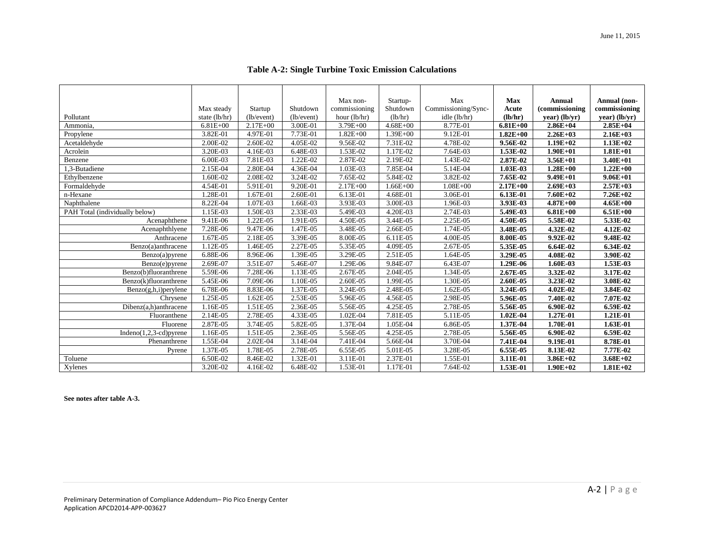| <b>Table A-2: Single Turbine Toxic Emission Calculations</b> |  |
|--------------------------------------------------------------|--|

|                                            |                             |                       |                        | Max non-                      | Startup-            | Max                                 | <b>Max</b>       | <b>Annual</b>                     | Annual (non-                     |
|--------------------------------------------|-----------------------------|-----------------------|------------------------|-------------------------------|---------------------|-------------------------------------|------------------|-----------------------------------|----------------------------------|
| Pollutant                                  | Max steady<br>state (lb/hr) | Startup<br>(lb/event) | Shutdown<br>(lb/event) | commissioning<br>hour (lb/hr) | Shutdown<br>(lb/hr) | Commissioning/Sync-<br>idle (lb/hr) | Acute<br>(lb/hr) | (commissioning<br>$year)$ (lb/yr) | commissioning<br>$year)$ (lb/yr) |
| Ammonia,                                   | $6.81E + 00$                | $2.17E + 00$          | 3.00E-01               | $3.79E + 00$                  | $4.68E + 00$        | 8.77E-01                            | $6.81E + 00$     | $2.86E + 04$                      | $2.85E+04$                       |
| Propylene                                  | 3.82E-01                    | 4.97E-01              | 7.73E-01               | $1.82E + 00$                  | $1.39E + 00$        | 9.12E-01                            | $1.82E + 00$     | $2.26E+03$                        | $2.16E+03$                       |
| Acetaldehyde                               | 2.00E-02                    | 2.60E-02              | 4.05E-02               | 9.56E-02                      | 7.31E-02            | 4.78E-02                            | 9.56E-02         | $1.19E + 02$                      | $1.13E + 02$                     |
| Acrolein                                   | 3.20E-03                    | 4.16E-03              | 6.48E-03               | 1.53E-02                      | 1.17E-02            | 7.64E-03                            | 1.53E-02         | $1.90E + 01$                      | $1.81E + 01$                     |
| Benzene                                    | 6.00E-03                    | 7.81E-03              | 1.22E-02               | 2.87E-02                      | 2.19E-02            | 1.43E-02                            | 2.87E-02         | $3.56E + 01$                      | $3.40E + 01$                     |
| 1.3-Butadiene                              | 2.15E-04                    | 2.80E-04              | 4.36E-04               | 1.03E-03                      | 7.85E-04            | 5.14E-04                            | 1.03E-03         | $1.28E + 00$                      | $1.22E + 00$                     |
| Ethylbenzene                               | 1.60E-02                    | 2.08E-02              | 3.24E-02               | 7.65E-02                      | 5.84E-02            | 3.82E-02                            | 7.65E-02         | $9.49E + 01$                      | $9.06E + 01$                     |
| Formaldehyde                               | 4.54E-01                    | 5.91E-01              | 9.20E-01               | $2.17E + 00$                  | $1.66E + 00$        | $1.08E + 00$                        | $2.17E+00$       | $2.69E+03$                        | $2.57E+03$                       |
| n-Hexane                                   | .28E-01                     | 1.67E-01              | 2.60E-01               | 6.13E-01                      | 4.68E-01            | 3.06E-01                            | 6.13E-01         | $7.60E + 02$                      | $7.26E + 02$                     |
| Naphthalene                                | 8.22E-04                    | 1.07E-03              | 1.66E-03               | 3.93E-03                      | 3.00E-03            | 1.96E-03                            | 3.93E-03         | $4.87E + 00$                      | $4.65E+00$                       |
| PAH Total (individually below)             | 1.15E-03                    | 1.50E-03              | 2.33E-03               | 5.49E-03                      | 4.20E-03            | 2.74E-03                            | 5.49E-03         | $6.81E + 00$                      | $6.51E + 00$                     |
| Acenaphthene                               | 9.41E-06                    | 1.22E-05              | 1.91E-05               | 4.50E-05                      | 3.44E-05            | 2.25E-05                            | 4.50E-05         | 5.58E-02                          | 5.33E-02                         |
| Acenaphthlyene                             | 7.28E-06                    | 9.47E-06              | 1.47E-05               | 3.48E-05                      | 2.66E-05            | 1.74E-05                            | 3.48E-05         | 4.32E-02                          | 4.12E-02                         |
| Anthracene                                 | 1.67E-05                    | 2.18E-05              | 3.39E-05               | 8.00E-05                      | 6.11E-05            | 4.00E-05                            | 8.00E-05         | 9.92E-02                          | 9.48E-02                         |
| Benzo(a)anthracene                         | 1.12E-05                    | 1.46E-05              | 2.27E-05               | 5.35E-05                      | 4.09E-05            | 2.67E-05                            | 5.35E-05         | 6.64E-02                          | 6.34E-02                         |
| Benzo(a)pyrene                             | 6.88E-06                    | 8.96E-06              | 1.39E-05               | 3.29E-05                      | 2.51E-05            | 1.64E-05                            | 3.29E-05         | 4.08E-02                          | 3.90E-02                         |
| Benzo(e)pyrene                             | 2.69E-07                    | 3.51E-07              | 5.46E-07               | 1.29E-06                      | 9.84E-07            | 6.43E-07                            | 1.29E-06         | 1.60E-03                          | 1.53E-03                         |
| Benzo(b)fluoranthrene                      | 5.59E-06                    | 7.28E-06              | 1.13E-05               | 2.67E-05                      | 2.04E-05            | 1.34E-05                            | 2.67E-05         | 3.32E-02                          | 3.17E-02                         |
| Benzo(k)fluoranthrene                      | 5.45E-06                    | 7.09E-06              | 1.10E-05               | 2.60E-05                      | 1.99E-05            | 1.30E-05                            | 2.60E-05         | 3.23E-02                          | 3.08E-02                         |
| $\overline{\text{Benzo}(g,h,i)}$ perylene  | 6.78E-06                    | 8.83E-06              | 1.37E-05               | 3.24E-05                      | 2.48E-05            | 1.62E-05                            | 3.24E-05         | 4.02E-02                          | 3.84E-02                         |
| Chrysene                                   | 1.25E-05                    | 1.62E-05              | 2.53E-05               | 5.96E-05                      | 4.56E-05            | 2.98E-05                            | 5.96E-05         | 7.40E-02                          | 7.07E-02                         |
| $\overline{\text{Dib}}$ enz(a,h)anthracene | 1.16E-05                    | 1.51E-05              | 2.36E-05               | 5.56E-05                      | 4.25E-05            | 2.78E-05                            | 5.56E-05         | 6.90E-02                          | 6.59E-02                         |
| Fluoranthene                               | 2.14E-05                    | 2.78E-05              | 4.33E-05               | 1.02E-04                      | 7.81E-05            | 5.11E-05                            | 1.02E-04         | 1.27E-01                          | 1.21E-01                         |
| Fluorene                                   | 2.87E-05                    | 3.74E-05              | 5.82E-05               | 1.37E-04                      | 1.05E-04            | 6.86E-05                            | 1.37E-04         | 1.70E-01                          | 1.63E-01                         |
| $Indeno(1,2,3-cd)pyrene$                   | 1.16E-05                    | 1.51E-05              | 2.36E-05               | 5.56E-05                      | 4.25E-05            | 2.78E-05                            | 5.56E-05         | 6.90E-02                          | 6.59E-02                         |
| Phenanthrene                               | 1.55E-04                    | 2.02E-04              | 3.14E-04               | 7.41E-04                      | 5.66E-04            | 3.70E-04                            | 7.41E-04         | 9.19E-01                          | 8.78E-01                         |
| Pyrene                                     | 1.37E-05                    | 1.78E-05              | 2.78E-05               | 6.55E-05                      | 5.01E-05            | 3.28E-05                            | 6.55E-05         | 8.13E-02                          | 7.77E-02                         |
| Toluene                                    | 6.50E-02                    | 8.46E-02              | 1.32E-01               | 3.11E-01                      | 2.37E-01            | 1.55E-01                            | 3.11E-01         | $3.86E+02$                        | $3.68E + 02$                     |
| Xylenes                                    | 3.20E-02                    | 4.16E-02              | 6.48E-02               | 1.53E-01                      | 1.17E-01            | 7.64E-02                            | 1.53E-01         | $1.90E + 02$                      | $1.81E+02$                       |

**See notes after table A-3.**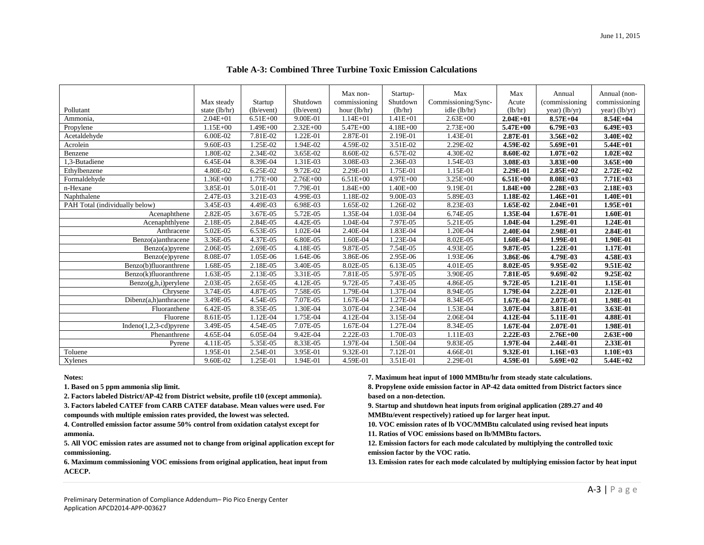|                                |                             |                       | Shutdown     | Max non-<br>commissioning | Startup-<br>Shutdown | Max                                 | Max<br>Acute | Annual<br>(commissioning) | Annual (non-<br>commissioning |
|--------------------------------|-----------------------------|-----------------------|--------------|---------------------------|----------------------|-------------------------------------|--------------|---------------------------|-------------------------------|
| Pollutant                      | Max steady<br>state (lb/hr) | Startup<br>(lb/event) | (lb/event)   | hour (lb/hr)              | (lb/hr)              | Commissioning/Sync-<br>idle (lb/hr) | (lb/hr)      | year) $(lb/yr)$           | year) (lb/yr)                 |
| Ammonia,                       | $2.04E + 01$                | $6.51E + 00$          | 9.00E-01     | $1.14E + 01$              | $1.41E + 01$         | $2.63E + 00$                        | $2.04E + 01$ | $8.57E + 04$              | $8.54E + 04$                  |
| Propylene                      | $1.15E + 00$                | $1.49E + 00$          | $2.32E + 00$ | 5.47E+00                  | $4.18E + 00$         | $2.73E + 00$                        | $5.47E + 00$ | $6.79E+03$                | $6.49E+03$                    |
| Acetaldehyde                   | 6.00E-02                    | 7.81E-02              | $.22E-01$    | 2.87E-01                  | 2.19E-01             | 1.43E-01                            | 2.87E-01     | $3.56E + 02$              | $3.40E + 02$                  |
| Acrolein                       | 9.60E-03                    | 1.25E-02              | 1.94E-02     | 4.59E-02                  | 3.51E-02             | 2.29E-02                            | 4.59E-02     | $5.69E + 01$              | $5.44E + 01$                  |
| Benzene                        | .80E-02                     | 2.34E-02              | 3.65E-02     | 8.60E-02                  | 6.57E-02             | 4.30E-02                            | 8.60E-02     | $1.07E + 02$              | $1.02E + 02$                  |
| 1,3-Butadiene                  | 6.45E-04                    | 8.39E-04              | 1.31E-03     | 3.08E-03                  | 2.36E-03             | 1.54E-03                            | 3.08E-03     | $3.83E + 00$              | $3.65E + 00$                  |
| Ethylbenzene                   | 4.80E-02                    | 6.25E-02              | 9.72E-02     | 2.29E-01                  | 1.75E-01             | 1.15E-01                            | 2.29E-01     | $2.85E+02$                | $2.72E+02$                    |
| Formaldehyde                   | $1.36E + 00$                | 1.77E+00              | $2.76E + 00$ | $6.51E + 00$              | $4.97E + 00$         | $3.25E + 00$                        | $6.51E+00$   | $8.08E + 03$              | 7.71E+03                      |
| n-Hexane                       | 3.85E-01                    | 5.01E-01              | 7.79E-01     | $.84E + 00$               | $1.40E + 00$         | 9.19E-01                            | $1.84E + 00$ | $2.28E+03$                | $2.18E+03$                    |
| Naphthalene                    | 2.47E-03                    | 3.21E-03              | 4.99E-03     | 1.18E-02                  | 9.00E-03             | 5.89E-03                            | 1.18E-02     | $1.46E + 01$              | $1.40E + 01$                  |
| PAH Total (individually below) | 3.45E-03                    | 4.49E-03              | 6.98E-03     | .65E-02                   | 1.26E-02             | 8.23E-03                            | 1.65E-02     | $2.04E + 01$              | $1.95E+01$                    |
| Acenaphthene                   | 2.82E-05                    | 3.67E-05              | 5.72E-05     | .35E-04                   | 1.03E-04             | 6.74E-05                            | 1.35E-04     | 1.67E-01                  | 1.60E-01                      |
| Acenaphthlyene                 | 2.18E-05                    | 2.84E-05              | 4.42E-05     | 1.04E-04                  | 7.97E-05             | 5.21E-05                            | 1.04E-04     | 1.29E-01                  | 1.24E-01                      |
| Anthracene                     | 5.02E-05                    | 6.53E-05              | 1.02E-04     | 2.40E-04                  | 1.83E-04             | 1.20E-04                            | 2.40E-04     | 2.98E-01                  | 2.84E-01                      |
| Benzo(a)anthracene             | 3.36E-05                    | 4.37E-05              | 6.80E-05     | .60E-04                   | 1.23E-04             | 8.02E-05                            | 1.60E-04     | 1.99E-01                  | 1.90E-01                      |
| Benzo(a)pyrene                 | 2.06E-05                    | 2.69E-05              | 4.18E-05     | 9.87E-05                  | 7.54E-05             | 4.93E-05                            | 9.87E-05     | 1.22E-01                  | 1.17E-01                      |
| Benzo(e)pyrene                 | 8.08E-07                    | 1.05E-06              | 1.64E-06     | 3.86E-06                  | 2.95E-06             | 1.93E-06                            | 3.86E-06     | 4.79E-03                  | 4.58E-03                      |
| Benzo(b)fluoranthrene          | 1.68E-05                    | 2.18E-05              | 3.40E-05     | 8.02E-05                  | 6.13E-05             | 4.01E-05                            | 8.02E-05     | 9.95E-02                  | 9.51E-02                      |
| Benzo(k)fluoranthrene          | 1.63E-05                    | 2.13E-05              | 3.31E-05     | 7.81E-05                  | 5.97E-05             | 3.90E-05                            | 7.81E-05     | 9.69E-02                  | 9.25E-02                      |
| $Benzo(g,h,i)$ per ylene       | 2.03E-05                    | 2.65E-05              | 4.12E-05     | 9.72E-05                  | 7.43E-05             | 4.86E-05                            | 9.72E-05     | 1.21E-01                  | 1.15E-01                      |
| Chrysene                       | 3.74E-05                    | 4.87E-05              | 7.58E-05     | 1.79E-04                  | 1.37E-04             | 8.94E-05                            | 1.79E-04     | 2.22E-01                  | 2.12E-01                      |
| Dibenz(a,h)anthracene          | 3.49E-05                    | 4.54E-05              | 7.07E-05     | 1.67E-04                  | 1.27E-04             | 8.34E-05                            | 1.67E-04     | 2.07E-01                  | 1.98E-01                      |
| Fluoranthene                   | 6.42E-05                    | 8.35E-05              | .30E-04      | 3.07E-04                  | 2.34E-04             | 1.53E-04                            | 3.07E-04     | 3.81E-01                  | 3.63E-01                      |
| Fluorene                       | 8.61E-05                    | 1.12E-04              | 1.75E-04     | 4.12E-04                  | 3.15E-04             | 2.06E-04                            | $4.12E-04$   | 5.11E-01                  | 4.88E-01                      |
| $Indeno(1,2,3-cd)pyrene$       | 3.49E-05                    | 4.54E-05              | 7.07E-05     | 1.67E-04                  | 1.27E-04             | 8.34E-05                            | 1.67E-04     | 2.07E-01                  | 1.98E-01                      |
| Phenanthrene                   | 4.65E-04                    | 6.05E-04              | 9.42E-04     | 2.22E-03                  | 1.70E-03             | 1.11E-03                            | 2.22E-03     | $2.76E + 00$              | $2.63E + 00$                  |
| Pyrene                         | 4.11E-05                    | 5.35E-05              | 8.33E-05     | 1.97E-04                  | 1.50E-04             | 9.83E-05                            | 1.97E-04     | 2.44E-01                  | 2.33E-01                      |
| Toluene                        | 1.95E-01                    | 2.54E-01              | 3.95E-01     | 9.32E-01                  | 7.12E-01             | $4.66E-01$                          | 9.32E-01     | $1.16E+03$                | $1.10E + 03$                  |
| $\overline{X}$ ylenes          | 9.60E-02                    | 1.25E-01              | 1.94E-01     | 4.59E-01                  | 3.51E-01             | 2.29E-01                            | 4.59E-01     | $5.69E + 02$              | $5.44E + 02$                  |
|                                |                             |                       |              |                           |                      |                                     |              |                           |                               |

**Table A-3: Combined Three Turbine Toxic Emission Calculations**

**Notes:**

**1. Based on 5 ppm ammonia slip limit.**

**2. Factors labeled District/AP-42 from District website, profile t10 (except ammonia).**

**3. Factors labeled CATEF from CARB CATEF database. Mean values were used. For compounds with multiple emission rates provided, the lowest was selected.**

**4. Controlled emission factor assume 50% control from oxidation catalyst except for ammonia.**

**5. All VOC emission rates are assumed not to change from original application except for commissioning.**

**6. Maximum commissioning VOC emissions from original application, heat input from ACECP.**

**7. Maximum heat input of 1000 MMBtu/hr from steady state calculations.**

**8. Propylene oxide emission factor in AP-42 data omitted from District factors since based on a non-detection.**

**9. Startup and shutdown heat inputs from original application (289.27 and 40 MMBtu/event respectively) ratioed up for larger heat input.**

**10. VOC emission rates of lb VOC/MMBtu calculated using revised heat inputs**

**11. Ratios of VOC emissions based on lb/MMBtu factors.**

**12. Emission factors for each mode calculated by multiplying the controlled toxic emission factor by the VOC ratio.**

**13. Emission rates for each mode calculated by multiplying emission factor by heat input**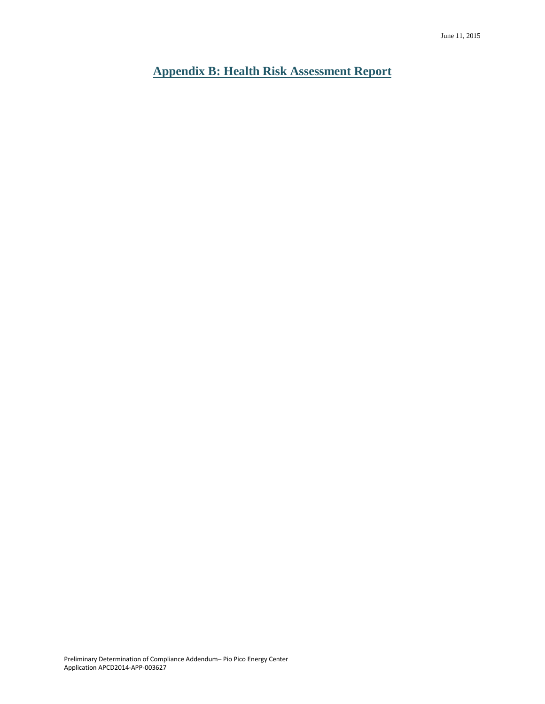<span id="page-20-0"></span>**Appendix B: Health Risk Assessment Report**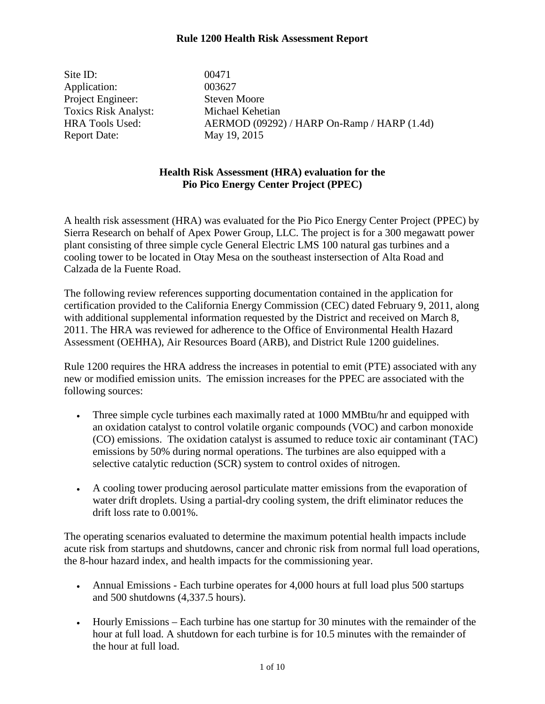Site ID: 00471 Application: 003627 Project Engineer: Steven Moore Toxics Risk Analyst: Michael Kehetian Report Date: May 19, 2015

HRA Tools Used: AERMOD (09292) / HARP On-Ramp / HARP (1.4d)

#### **Health Risk Assessment (HRA) evaluation for the Pio Pico Energy Center Project (PPEC)**

A health risk assessment (HRA) was evaluated for the Pio Pico Energy Center Project (PPEC) by Sierra Research on behalf of Apex Power Group, LLC. The project is for a 300 megawatt power plant consisting of three simple cycle General Electric LMS 100 natural gas turbines and a cooling tower to be located in Otay Mesa on the southeast instersection of Alta Road and Calzada de la Fuente Road.

The following review references supporting documentation contained in the application for certification provided to the California Energy Commission (CEC) dated February 9, 2011, along with additional supplemental information requested by the District and received on March 8, 2011. The HRA was reviewed for adherence to the Office of Environmental Health Hazard Assessment (OEHHA), Air Resources Board (ARB), and District Rule 1200 guidelines.

Rule 1200 requires the HRA address the increases in potential to emit (PTE) associated with any new or modified emission units. The emission increases for the PPEC are associated with the following sources:

- Three simple cycle turbines each maximally rated at 1000 MMBtu/hr and equipped with an oxidation catalyst to control volatile organic compounds (VOC) and carbon monoxide (CO) emissions. The oxidation catalyst is assumed to reduce toxic air contaminant (TAC) emissions by 50% during normal operations. The turbines are also equipped with a selective catalytic reduction (SCR) system to control oxides of nitrogen.
- A cooling tower producing aerosol particulate matter emissions from the evaporation of water drift droplets. Using a partial-dry cooling system, the drift eliminator reduces the drift loss rate to 0.001%.

The operating scenarios evaluated to determine the maximum potential health impacts include acute risk from startups and shutdowns, cancer and chronic risk from normal full load operations, the 8-hour hazard index, and health impacts for the commissioning year.

- Annual Emissions Each turbine operates for 4,000 hours at full load plus 500 startups and 500 shutdowns (4,337.5 hours).
- Hourly Emissions Each turbine has one startup for 30 minutes with the remainder of the hour at full load. A shutdown for each turbine is for 10.5 minutes with the remainder of the hour at full load.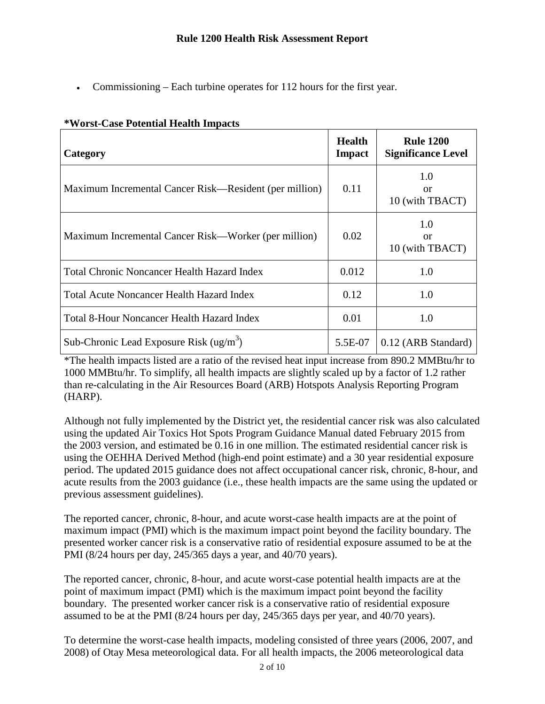• Commissioning – Each turbine operates for 112 hours for the first year.

| Category                                               | <b>Health</b><br>Impact | <b>Rule 1200</b><br><b>Significance Level</b> |
|--------------------------------------------------------|-------------------------|-----------------------------------------------|
| Maximum Incremental Cancer Risk—Resident (per million) | 0.11                    | 1.0<br>or<br>10 (with TBACT)                  |
| Maximum Incremental Cancer Risk—Worker (per million)   | 0.02                    | 1.0<br><sub>or</sub><br>10 (with TBACT)       |
| Total Chronic Noncancer Health Hazard Index            | 0.012                   | 1.0                                           |
| Total Acute Noncancer Health Hazard Index              | 0.12                    | 1.0                                           |
| Total 8-Hour Noncancer Health Hazard Index             | 0.01                    | 1.0                                           |
| Sub-Chronic Lead Exposure Risk $(ug/m3)$               | 5.5E-07                 | 0.12 (ARB Standard)                           |

#### **\*Worst-Case Potential Health Impacts**

\*The health impacts listed are a ratio of the revised heat input increase from 890.2 MMBtu/hr to 1000 MMBtu/hr. To simplify, all health impacts are slightly scaled up by a factor of 1.2 rather than re-calculating in the Air Resources Board (ARB) Hotspots Analysis Reporting Program (HARP).

Although not fully implemented by the District yet, the residential cancer risk was also calculated using the updated Air Toxics Hot Spots Program Guidance Manual dated February 2015 from the 2003 version, and estimated be 0.16 in one million. The estimated residential cancer risk is using the OEHHA Derived Method (high-end point estimate) and a 30 year residential exposure period. The updated 2015 guidance does not affect occupational cancer risk, chronic, 8-hour, and acute results from the 2003 guidance (i.e., these health impacts are the same using the updated or previous assessment guidelines).

The reported cancer, chronic, 8-hour, and acute worst-case health impacts are at the point of maximum impact (PMI) which is the maximum impact point beyond the facility boundary. The presented worker cancer risk is a conservative ratio of residential exposure assumed to be at the PMI (8/24 hours per day, 245/365 days a year, and 40/70 years).

The reported cancer, chronic, 8-hour, and acute worst-case potential health impacts are at the point of maximum impact (PMI) which is the maximum impact point beyond the facility boundary. The presented worker cancer risk is a conservative ratio of residential exposure assumed to be at the PMI (8/24 hours per day, 245/365 days per year, and 40/70 years).

To determine the worst-case health impacts, modeling consisted of three years (2006, 2007, and 2008) of Otay Mesa meteorological data. For all health impacts, the 2006 meteorological data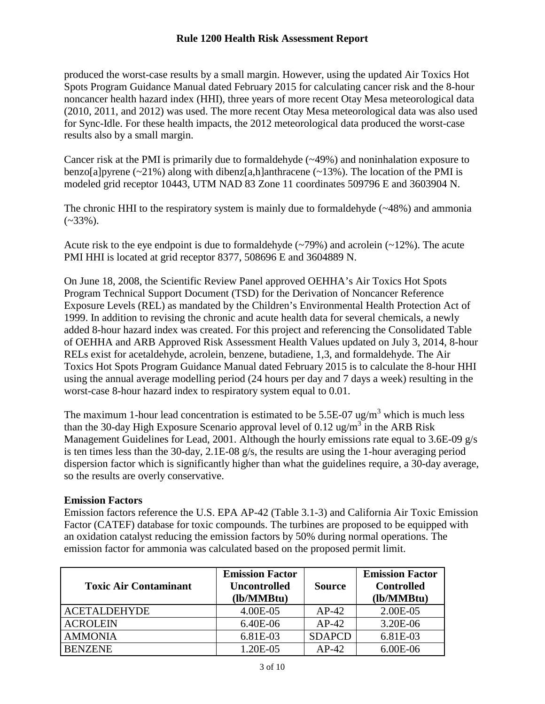produced the worst-case results by a small margin. However, using the updated Air Toxics Hot Spots Program Guidance Manual dated February 2015 for calculating cancer risk and the 8-hour noncancer health hazard index (HHI), three years of more recent Otay Mesa meteorological data (2010, 2011, and 2012) was used. The more recent Otay Mesa meteorological data was also used for Sync-Idle. For these health impacts, the 2012 meteorological data produced the worst-case results also by a small margin.

Cancer risk at the PMI is primarily due to formaldehyde  $(\sim 49\%)$  and noninhalation exposure to benzo[a]pyrene  $(-21\%)$  along with dibenz[a,h]anthracene  $(-13\%)$ . The location of the PMI is modeled grid receptor 10443, UTM NAD 83 Zone 11 coordinates 509796 E and 3603904 N.

The chronic HHI to the respiratory system is mainly due to formaldehyde (~48%) and ammonia  $(-33\%)$ .

Acute risk to the eye endpoint is due to formaldehyde (~79%) and acrolein (~12%). The acute PMI HHI is located at grid receptor 8377, 508696 E and 3604889 N.

On June 18, 2008, the Scientific Review Panel approved OEHHA's Air Toxics Hot Spots Program Technical Support Document (TSD) for the Derivation of Noncancer Reference Exposure Levels (REL) as mandated by the Children's Environmental Health Protection Act of 1999. In addition to revising the chronic and acute health data for several chemicals, a newly added 8-hour hazard index was created. For this project and referencing the Consolidated Table of OEHHA and ARB Approved Risk Assessment Health Values updated on July 3, 2014, 8-hour RELs exist for acetaldehyde, acrolein, benzene, butadiene, 1,3, and formaldehyde. The Air Toxics Hot Spots Program Guidance Manual dated February 2015 is to calculate the 8-hour HHI using the annual average modelling period (24 hours per day and 7 days a week) resulting in the worst-case 8-hour hazard index to respiratory system equal to 0.01.

The maximum 1-hour lead concentration is estimated to be  $5.5E-07$  ug/m<sup>3</sup> which is much less than the 30-day High Exposure Scenario approval level of 0.12 ug/m<sup>3</sup> in the ARB Risk Management Guidelines for Lead, 2001. Although the hourly emissions rate equal to 3.6E-09 g/s is ten times less than the 30-day, 2.1E-08 g/s, the results are using the 1-hour averaging period dispersion factor which is significantly higher than what the guidelines require, a 30-day average, so the results are overly conservative.

#### **Emission Factors**

Emission factors reference the U.S. EPA AP-42 (Table 3.1-3) and California Air Toxic Emission Factor (CATEF) database for toxic compounds. The turbines are proposed to be equipped with an oxidation catalyst reducing the emission factors by 50% during normal operations. The emission factor for ammonia was calculated based on the proposed permit limit.

| <b>Toxic Air Contaminant</b> | <b>Emission Factor</b><br><b>Uncontrolled</b><br>(lb/MMBtu) | <b>Source</b> | <b>Emission Factor</b><br><b>Controlled</b><br>(lb/MMBtu) |
|------------------------------|-------------------------------------------------------------|---------------|-----------------------------------------------------------|
| <b>ACETALDEHYDE</b>          | 4.00E-05                                                    | $AP-42$       | 2.00E-05                                                  |
| <b>ACROLEIN</b>              | $6.40E-06$                                                  | $AP-42$       | 3.20E-06                                                  |
| <b>AMMONIA</b>               | 6.81E-03                                                    | <b>SDAPCD</b> | 6.81E-03                                                  |
| <b>BENZENE</b>               | 1.20E-05                                                    | $AP-42$       | 6.00E-06                                                  |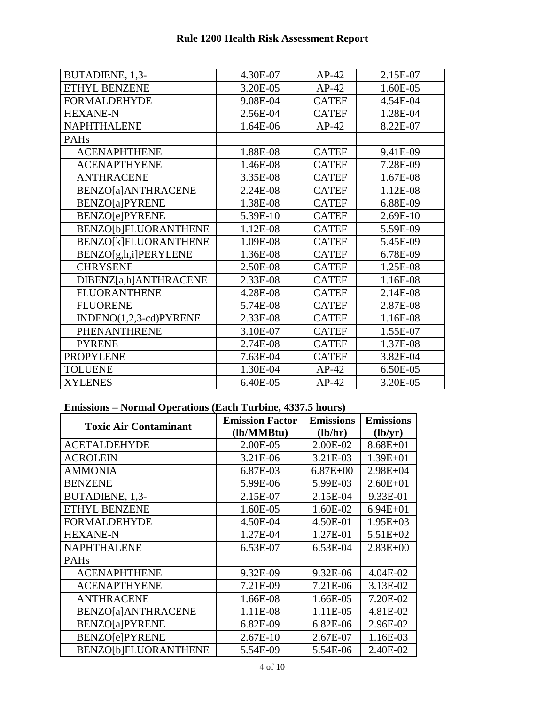| <b>Rule 1200 Health Risk Assessment Report</b> |  |
|------------------------------------------------|--|
|------------------------------------------------|--|

| BUTADIENE, 1,3-             | 4.30E-07 | $AP-42$      | 2.15E-07 |
|-----------------------------|----------|--------------|----------|
| ETHYL BENZENE               | 3.20E-05 | $AP-42$      | 1.60E-05 |
| <b>FORMALDEHYDE</b>         | 9.08E-04 | <b>CATEF</b> | 4.54E-04 |
| <b>HEXANE-N</b>             | 2.56E-04 | <b>CATEF</b> | 1.28E-04 |
| <b>NAPHTHALENE</b>          | 1.64E-06 | $AP-42$      | 8.22E-07 |
| <b>PAHs</b>                 |          |              |          |
| <b>ACENAPHTHENE</b>         | 1.88E-08 | <b>CATEF</b> | 9.41E-09 |
| <b>ACENAPTHYENE</b>         | 1.46E-08 | <b>CATEF</b> | 7.28E-09 |
| <b>ANTHRACENE</b>           | 3.35E-08 | <b>CATEF</b> | 1.67E-08 |
| BENZO[a]ANTHRACENE          | 2.24E-08 | <b>CATEF</b> | 1.12E-08 |
| <b>BENZO[a]PYRENE</b>       | 1.38E-08 | <b>CATEF</b> | 6.88E-09 |
| <b>BENZO[e]PYRENE</b>       | 5.39E-10 | <b>CATEF</b> | 2.69E-10 |
| <b>BENZO[b]FLUORANTHENE</b> | 1.12E-08 | <b>CATEF</b> | 5.59E-09 |
| BENZO[k]FLUORANTHENE        | 1.09E-08 | <b>CATEF</b> | 5.45E-09 |
| BENZO[g,h,i]PERYLENE        | 1.36E-08 | <b>CATEF</b> | 6.78E-09 |
| <b>CHRYSENE</b>             | 2.50E-08 | <b>CATEF</b> | 1.25E-08 |
| DIBENZ[a,h]ANTHRACENE       | 2.33E-08 | <b>CATEF</b> | 1.16E-08 |
| <b>FLUORANTHENE</b>         | 4.28E-08 | <b>CATEF</b> | 2.14E-08 |
| <b>FLUORENE</b>             | 5.74E-08 | <b>CATEF</b> | 2.87E-08 |
| $INDENO(1,2,3-cd)PYRENE$    | 2.33E-08 | <b>CATEF</b> | 1.16E-08 |
| <b>PHENANTHRENE</b>         | 3.10E-07 | <b>CATEF</b> | 1.55E-07 |
| <b>PYRENE</b>               | 2.74E-08 | <b>CATEF</b> | 1.37E-08 |
| <b>PROPYLENE</b>            | 7.63E-04 | <b>CATEF</b> | 3.82E-04 |
| <b>TOLUENE</b>              | 1.30E-04 | $AP-42$      | 6.50E-05 |
| <b>XYLENES</b>              | 6.40E-05 | $AP-42$      | 3.20E-05 |

### **Emissions – Normal Operations (Each Turbine, 4337.5 hours)**

| <b>Toxic Air Contaminant</b> | <b>Emission Factor</b> | <b>Emissions</b> | <b>Emissions</b> |
|------------------------------|------------------------|------------------|------------------|
|                              | (lb/MMBtu)             | (lb/hr)          | (lb/yr)          |
| <b>ACETALDEHYDE</b>          | 2.00E-05               | 2.00E-02         | $8.68E + 01$     |
| <b>ACROLEIN</b>              | 3.21E-06               | 3.21E-03         | $1.39E + 01$     |
| <b>AMMONIA</b>               | 6.87E-03               | $6.87E + 00$     | $2.98E + 04$     |
| <b>BENZENE</b>               | 5.99E-06               | 5.99E-03         | $2.60E + 01$     |
| BUTADIENE, 1,3-              | 2.15E-07               | 2.15E-04         | 9.33E-01         |
| <b>ETHYL BENZENE</b>         | 1.60E-05               | 1.60E-02         | $6.94E + 01$     |
| <b>FORMALDEHYDE</b>          | 4.50E-04               | 4.50E-01         | $1.95E+03$       |
| <b>HEXANE-N</b>              | 1.27E-04               | 1.27E-01         | $5.51E+02$       |
| <b>NAPHTHALENE</b>           | 6.53E-07               | 6.53E-04         | $2.83E+00$       |
| <b>PAHs</b>                  |                        |                  |                  |
| <b>ACENAPHTHENE</b>          | 9.32E-09               | 9.32E-06         | 4.04E-02         |
| <b>ACENAPTHYENE</b>          | 7.21E-09               | 7.21E-06         | 3.13E-02         |
| <b>ANTHRACENE</b>            | 1.66E-08               | 1.66E-05         | 7.20E-02         |
| BENZO[a]ANTHRACENE           | 1.11E-08               | 1.11E-05         | 4.81E-02         |
| <b>BENZO[a]PYRENE</b>        | 6.82E-09               | 6.82E-06         | 2.96E-02         |
| <b>BENZO[e]PYRENE</b>        | $2.67E-10$             | 2.67E-07         | 1.16E-03         |
| <b>BENZO[b]FLUORANTHENE</b>  | 5.54E-09               | 5.54E-06         | 2.40E-02         |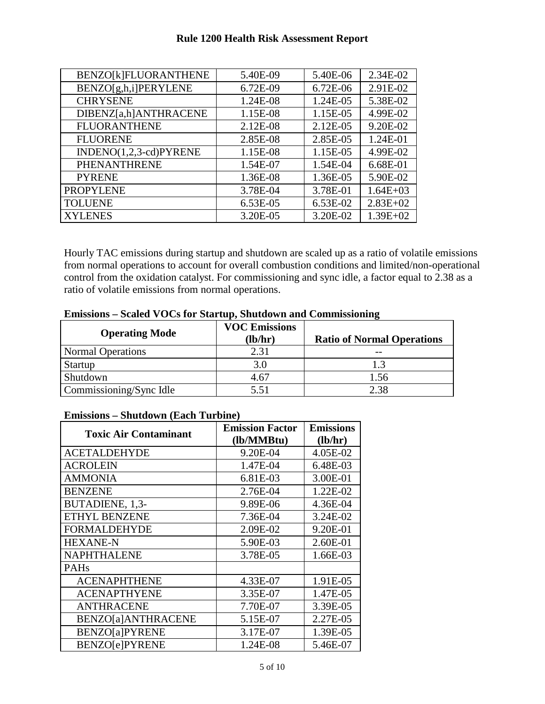| BENZO[k]FLUORANTHENE   | 5.40E-09 | 5.40E-06   | 2.34E-02     |
|------------------------|----------|------------|--------------|
| BENZO[g,h,i]PERYLENE   | 6.72E-09 | 6.72E-06   | 2.91E-02     |
| <b>CHRYSENE</b>        | 1.24E-08 | 1.24E-05   | 5.38E-02     |
| DIBENZ[a,h]ANTHRACENE  | 1.15E-08 | 1.15E-05   | 4.99E-02     |
| <b>FLUORANTHENE</b>    | 2.12E-08 | $2.12E-05$ | 9.20E-02     |
| <b>FLUORENE</b>        | 2.85E-08 | 2.85E-05   | 1.24E-01     |
| INDENO(1,2,3-cd)PYRENE | 1.15E-08 | 1.15E-05   | 4.99E-02     |
| PHENANTHRENE           | 1.54E-07 | 1.54E-04   | 6.68E-01     |
| <b>PYRENE</b>          | 1.36E-08 | 1.36E-05   | 5.90E-02     |
| <b>PROPYLENE</b>       | 3.78E-04 | 3.78E-01   | $1.64E + 03$ |
| <b>TOLUENE</b>         | 6.53E-05 | 6.53E-02   | $2.83E+02$   |
| <b>XYLENES</b>         | 3.20E-05 | 3.20E-02   | $1.39E + 02$ |

Hourly TAC emissions during startup and shutdown are scaled up as a ratio of volatile emissions from normal operations to account for overall combustion conditions and limited/non-operational control from the oxidation catalyst. For commissioning and sync idle, a factor equal to 2.38 as a ratio of volatile emissions from normal operations.

| <b>Operating Mode</b>    | <b>VOC Emissions</b><br>(lb/hr) | <b>Ratio of Normal Operations</b> |
|--------------------------|---------------------------------|-----------------------------------|
| <b>Normal Operations</b> | 2.31                            | --                                |
| <b>Startup</b>           | 3.0                             |                                   |
| Shutdown                 | 4.67                            | 1.56                              |
| Commissioning/Sync Idle  | 5.51                            | 2.38                              |

#### **Emissions – Scaled VOCs for Startup, Shutdown and Commissioning**

#### **Emissions – Shutdown (Each Turbine)**

| <b>Toxic Air Contaminant</b> | <b>Emission Factor</b> | <b>Emissions</b> |
|------------------------------|------------------------|------------------|
|                              | (lb/MMBtu)             | (lb/hr)          |
| <b>ACETALDEHYDE</b>          | 9.20E-04               | 4.05E-02         |
| ACROLEIN                     | 1.47E-04               | 6.48E-03         |
| <b>AMMONIA</b>               | 6.81E-03               | 3.00E-01         |
| <b>BENZENE</b>               | 2.76E-04               | 1.22E-02         |
| BUTADIENE, 1,3-              | 9.89E-06               | 4.36E-04         |
| <b>ETHYL BENZENE</b>         | 7.36E-04               | 3.24E-02         |
| <b>FORMALDEHYDE</b>          | 2.09E-02               | 9.20E-01         |
| <b>HEXANE-N</b>              | 5.90E-03               | 2.60E-01         |
| <b>NAPHTHALENE</b>           | 3.78E-05               | 1.66E-03         |
| <b>PAHs</b>                  |                        |                  |
| <b>ACENAPHTHENE</b>          | 4.33E-07               | 1.91E-05         |
| <b>ACENAPTHYENE</b>          | 3.35E-07               | 1.47E-05         |
| <b>ANTHRACENE</b>            | 7.70E-07               | 3.39E-05         |
| BENZO[a]ANTHRACENE           | 5.15E-07               | 2.27E-05         |
| <b>BENZO[a]PYRENE</b>        | 3.17E-07               | 1.39E-05         |
| <b>BENZO[e]PYRENE</b>        | 1.24E-08               | 5.46E-07         |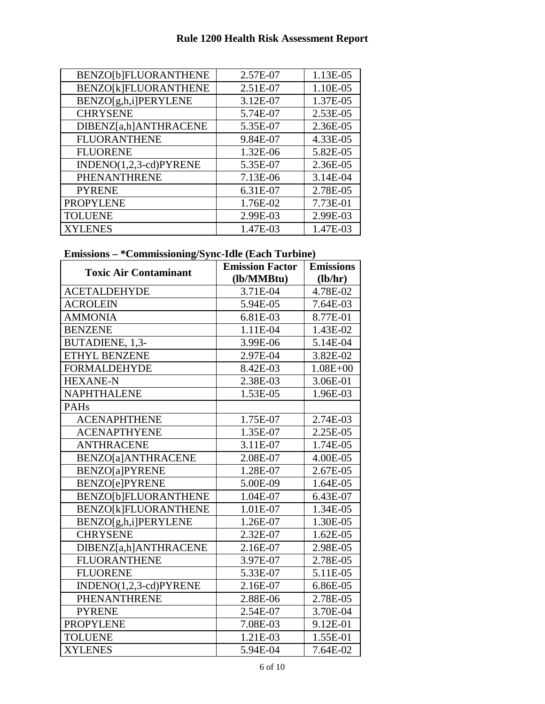| BENZO[b]FLUORANTHENE     | 2.57E-07 | 1.13E-05 |
|--------------------------|----------|----------|
| BENZO[k]FLUORANTHENE     | 2.51E-07 | 1.10E-05 |
| BENZO[g,h,i]PERYLENE     | 3.12E-07 | 1.37E-05 |
| <b>CHRYSENE</b>          | 5.74E-07 | 2.53E-05 |
| DIBENZ[a,h]ANTHRACENE    | 5.35E-07 | 2.36E-05 |
| <b>FLUORANTHENE</b>      | 9.84E-07 | 4.33E-05 |
| <b>FLUORENE</b>          | 1.32E-06 | 5.82E-05 |
| $INDENO(1,2,3-cd)PYRENE$ | 5.35E-07 | 2.36E-05 |
| <b>PHENANTHRENE</b>      | 7.13E-06 | 3.14E-04 |
| <b>PYRENE</b>            | 6.31E-07 | 2.78E-05 |
| <b>PROPYLENE</b>         | 1.76E-02 | 7.73E-01 |
| <b>TOLUENE</b>           | 2.99E-03 | 2.99E-03 |
| <b>XYLENES</b>           | 1.47E-03 | 1.47E-03 |

### **Emissions – \*Commissioning/Sync-Idle (Each Turbine)**

| <b>Toxic Air Contaminant</b> | <b>Emission Factor</b><br>(lb/MMBtu) | <b>Emissions</b><br>(lb/hr) |
|------------------------------|--------------------------------------|-----------------------------|
| <b>ACETALDEHYDE</b>          | 3.71E-04                             | 4.78E-02                    |
| <b>ACROLEIN</b>              | 5.94E-05                             | 7.64E-03                    |
| <b>AMMONIA</b>               | 6.81E-03                             | 8.77E-01                    |
| <b>BENZENE</b>               | 1.11E-04                             | 1.43E-02                    |
| BUTADIENE, 1,3-              | 3.99E-06                             | 5.14E-04                    |
| <b>ETHYL BENZENE</b>         | 2.97E-04                             | 3.82E-02                    |
| <b>FORMALDEHYDE</b>          | 8.42E-03                             | $1.08E + 00$                |
| <b>HEXANE-N</b>              | 2.38E-03                             | 3.06E-01                    |
| <b>NAPHTHALENE</b>           | 1.53E-05                             | 1.96E-03                    |
| PAHs                         |                                      |                             |
| <b>ACENAPHTHENE</b>          | 1.75E-07                             | 2.74E-03                    |
| <b>ACENAPTHYENE</b>          | 1.35E-07                             | 2.25E-05                    |
| <b>ANTHRACENE</b>            | 3.11E-07                             | 1.74E-05                    |
| BENZO[a]ANTHRACENE           | 2.08E-07                             | 4.00E-05                    |
| <b>BENZO[a]PYRENE</b>        | 1.28E-07                             | 2.67E-05                    |
| <b>BENZO[e]PYRENE</b>        | 5.00E-09                             | 1.64E-05                    |
| BENZO[b]FLUORANTHENE         | 1.04E-07                             | 6.43E-07                    |
| BENZO[k]FLUORANTHENE         | 1.01E-07                             | 1.34E-05                    |
| BENZO[g,h,i]PERYLENE         | 1.26E-07                             | 1.30E-05                    |
| <b>CHRYSENE</b>              | 2.32E-07                             | 1.62E-05                    |
| DIBENZ[a,h]ANTHRACENE        | 2.16E-07                             | 2.98E-05                    |
| <b>FLUORANTHENE</b>          | 3.97E-07                             | 2.78E-05                    |
| <b>FLUORENE</b>              | 5.33E-07                             | 5.11E-05                    |
| INDENO(1,2,3-cd)PYRENE       | 2.16E-07                             | 6.86E-05                    |
| PHENANTHRENE                 | 2.88E-06                             | 2.78E-05                    |
| <b>PYRENE</b>                | 2.54E-07                             | 3.70E-04                    |
| <b>PROPYLENE</b>             | 7.08E-03                             | 9.12E-01                    |
| <b>TOLUENE</b>               | 1.21E-03                             | 1.55E-01                    |
| <b>XYLENES</b>               | 5.94E-04                             | 7.64E-02                    |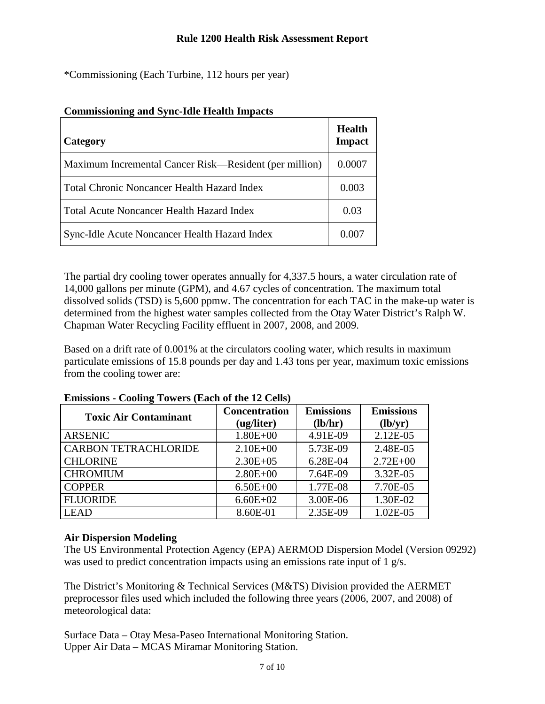\*Commissioning (Each Turbine, 112 hours per year)

| Category                                               | <b>Health</b><br><b>Impact</b> |
|--------------------------------------------------------|--------------------------------|
| Maximum Incremental Cancer Risk—Resident (per million) | 0.0007                         |
| Total Chronic Noncancer Health Hazard Index            | 0.003                          |
| Total Acute Noncancer Health Hazard Index              | 0.03                           |
| Sync-Idle Acute Noncancer Health Hazard Index          | 0.00L                          |

#### **Commissioning and Sync-Idle Health Impacts**

The partial dry cooling tower operates annually for 4,337.5 hours, a water circulation rate of 14,000 gallons per minute (GPM), and 4.67 cycles of concentration. The maximum total dissolved solids (TSD) is 5,600 ppmw. The concentration for each TAC in the make-up water is determined from the highest water samples collected from the Otay Water District's Ralph W. Chapman Water Recycling Facility effluent in 2007, 2008, and 2009.

Based on a drift rate of 0.001% at the circulators cooling water, which results in maximum particulate emissions of 15.8 pounds per day and 1.43 tons per year, maximum toxic emissions from the cooling tower are:

| <b>Toxic Air Contaminant</b> | <b>Concentration</b><br>(ug/liter) | <b>Emissions</b><br>(lb/hr) | <b>Emissions</b><br>(lb/yr) |
|------------------------------|------------------------------------|-----------------------------|-----------------------------|
| <b>ARSENIC</b>               | $1.80E + 00$                       | 4.91E-09                    | 2.12E-05                    |
| <b>CARBON TETRACHLORIDE</b>  | $2.10E + 00$                       | 5.73E-09                    | 2.48E-05                    |
| <b>CHLORINE</b>              | $2.30E + 05$                       | 6.28E-04                    | $2.72E + 00$                |
| <b>CHROMIUM</b>              | $2.80E + 00$                       | 7.64E-09                    | 3.32E-05                    |
| <b>COPPER</b>                | $6.50E + 00$                       | 1.77E-08                    | 7.70E-05                    |
| <b>FLUORIDE</b>              | $6.60E + 02$                       | 3.00E-06                    | 1.30E-02                    |
| <b>LEAD</b>                  | 8.60E-01                           | 2.35E-09                    | 1.02E-05                    |

#### **Emissions - Cooling Towers (Each of the 12 Cells)**

#### **Air Dispersion Modeling**

The US Environmental Protection Agency (EPA) AERMOD Dispersion Model (Version 09292) was used to predict concentration impacts using an emissions rate input of 1 g/s.

The District's Monitoring & Technical Services (M&TS) Division provided the AERMET preprocessor files used which included the following three years (2006, 2007, and 2008) of meteorological data:

Surface Data – Otay Mesa-Paseo International Monitoring Station. Upper Air Data – MCAS Miramar Monitoring Station.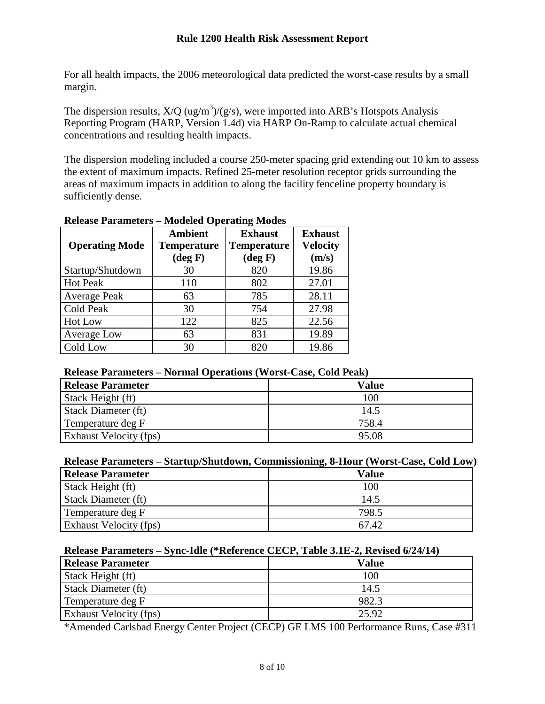For all health impacts, the 2006 meteorological data predicted the worst-case results by a small margin.

The dispersion results,  $X/Q$  (ug/m<sup>3</sup>)/(g/s), were imported into ARB's Hotspots Analysis Reporting Program (HARP, Version 1.4d) via HARP On-Ramp to calculate actual chemical concentrations and resulting health impacts.

The dispersion modeling included a course 250-meter spacing grid extending out 10 km to assess the extent of maximum impacts. Refined 25-meter resolution receptor grids surrounding the areas of maximum impacts in addition to along the facility fenceline property boundary is sufficiently dense.

| <b>Operating Mode</b> | <b>Ambient</b><br><b>Temperature</b><br>$(\deg F)$ | <b>Exhaust</b><br><b>Temperature</b><br>$(\text{deg } F)$ | <b>Exhaust</b><br><b>Velocity</b><br>(m/s) |
|-----------------------|----------------------------------------------------|-----------------------------------------------------------|--------------------------------------------|
| Startup/Shutdown      | 30                                                 | 820                                                       | 19.86                                      |
| <b>Hot Peak</b>       | 110                                                | 802                                                       | 27.01                                      |
| <b>Average Peak</b>   | 63                                                 | 785                                                       | 28.11                                      |
| Cold Peak             | 30                                                 | 754                                                       | 27.98                                      |
| Hot Low               | 122                                                | 825                                                       | 22.56                                      |
| Average Low           | 63                                                 | 831                                                       | 19.89                                      |
| Cold Low              | 30                                                 | 820                                                       | 19.86                                      |

#### **Release Parameters – Modeled Operating Modes**

#### **Release Parameters – Normal Operations (Worst-Case, Cold Peak)**

| <b>Release Parameter</b>   | <b>Value</b> |
|----------------------------|--------------|
| Stack Height (ft)          | 100          |
| <b>Stack Diameter (ft)</b> | 14.5         |
| Temperature deg F          | 758.4        |
| Exhaust Velocity (fps)     | 95.08        |

#### **Release Parameters – Startup/Shutdown, Commissioning, 8-Hour (Worst-Case, Cold Low)**

| <b>Release Parameter</b>   | <b>Value</b> |
|----------------------------|--------------|
| Stack Height (ft)          | 100          |
| <b>Stack Diameter (ft)</b> | 14.5         |
| Temperature deg F          | 798.5        |
| Exhaust Velocity (fps)     | 67.42        |

#### **Release Parameters – Sync-Idle (\*Reference CECP, Table 3.1E-2, Revised 6/24/14)**

| <b>Release Parameter</b>   | <b>Value</b> |
|----------------------------|--------------|
| Stack Height (ft)          | 100          |
| <b>Stack Diameter (ft)</b> | 14.5         |
| Temperature deg F          | 982.3        |
| Exhaust Velocity (fps)     | 25.92        |

\*Amended Carlsbad Energy Center Project (CECP) GE LMS 100 Performance Runs, Case #311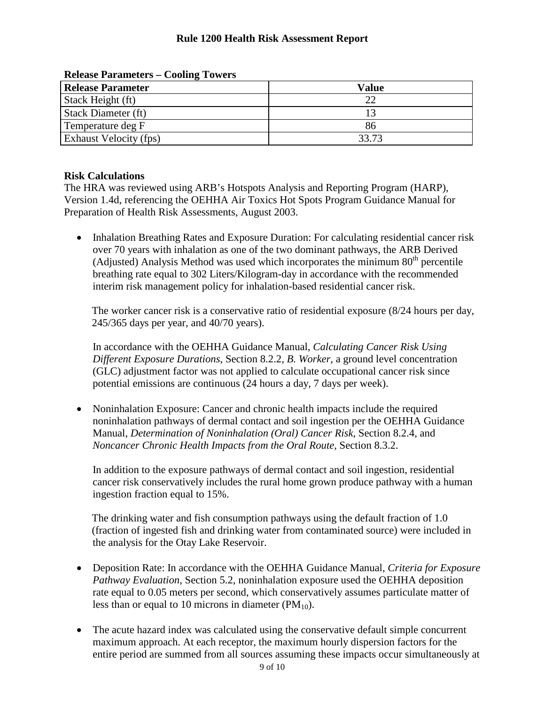| <b>Release Parameter</b> | Value |
|--------------------------|-------|
| Stack Height (ft)        |       |
| Stack Diameter (ft)      |       |
| Temperature deg F        | 86    |
| Exhaust Velocity (fps)   | 33.73 |

**Release Parameters – Cooling Towers**

#### **Risk Calculations**

The HRA was reviewed using ARB's Hotspots Analysis and Reporting Program (HARP), Version 1.4d, referencing the OEHHA Air Toxics Hot Spots Program Guidance Manual for Preparation of Health Risk Assessments, August 2003.

• Inhalation Breathing Rates and Exposure Duration: For calculating residential cancer risk over 70 years with inhalation as one of the two dominant pathways, the ARB Derived (Adjusted) Analysis Method was used which incorporates the minimum  $80<sup>th</sup>$  percentile breathing rate equal to 302 Liters/Kilogram-day in accordance with the recommended interim risk management policy for inhalation-based residential cancer risk.

The worker cancer risk is a conservative ratio of residential exposure (8/24 hours per day, 245/365 days per year, and 40/70 years).

In accordance with the OEHHA Guidance Manual, *Calculating Cancer Risk Using Different Exposure Durations*, Section 8.2.2, *B. Worker*, a ground level concentration (GLC) adjustment factor was not applied to calculate occupational cancer risk since potential emissions are continuous (24 hours a day, 7 days per week).

• Noninhalation Exposure: Cancer and chronic health impacts include the required noninhalation pathways of dermal contact and soil ingestion per the OEHHA Guidance Manual, *Determination of Noninhalation (Oral) Cancer Risk*, Section 8.2.4, and *Noncancer Chronic Health Impacts from the Oral Route*, Section 8.3.2.

In addition to the exposure pathways of dermal contact and soil ingestion, residential cancer risk conservatively includes the rural home grown produce pathway with a human ingestion fraction equal to 15%.

The drinking water and fish consumption pathways using the default fraction of 1.0 (fraction of ingested fish and drinking water from contaminated source) were included in the analysis for the Otay Lake Reservoir.

- Deposition Rate: In accordance with the OEHHA Guidance Manual, *Criteria for Exposure Pathway Evaluation*, Section 5.2, noninhalation exposure used the OEHHA deposition rate equal to 0.05 meters per second, which conservatively assumes particulate matter of less than or equal to 10 microns in diameter  $(PM_{10})$ .
- The acute hazard index was calculated using the conservative default simple concurrent maximum approach. At each receptor, the maximum hourly dispersion factors for the entire period are summed from all sources assuming these impacts occur simultaneously at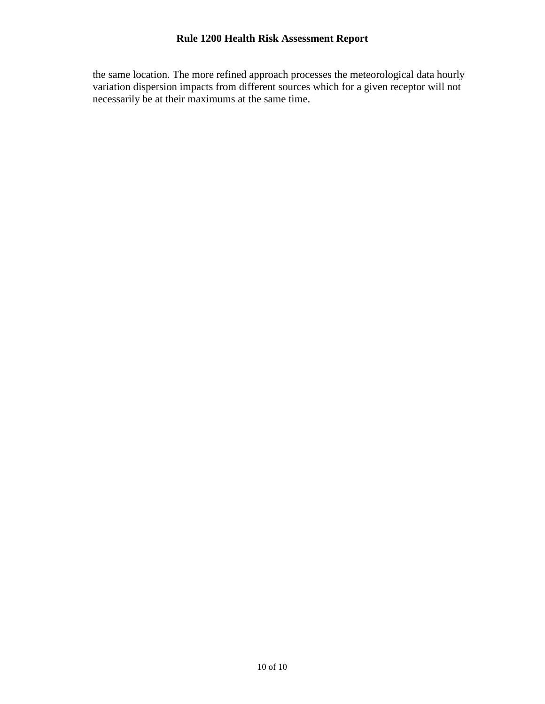the same location. The more refined approach processes the meteorological data hourly variation dispersion impacts from different sources which for a given receptor will not necessarily be at their maximums at the same time.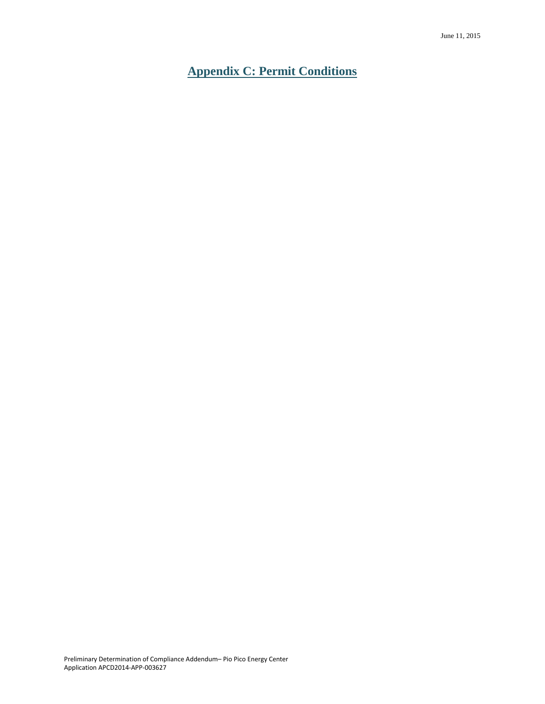<span id="page-31-0"></span>**Appendix C: Permit Conditions**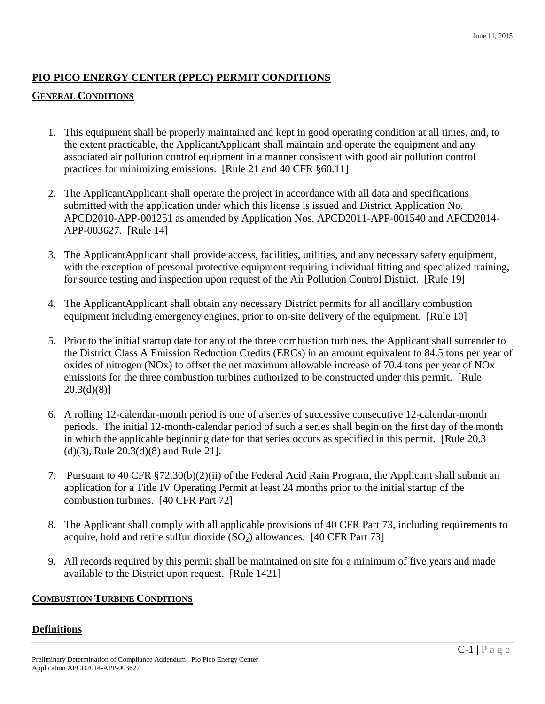#### **PIO PICO ENERGY CENTER (PPEC) PERMIT CONDITIONS**

#### **GENERAL CONDITIONS**

- 1. This equipment shall be properly maintained and kept in good operating condition at all times, and, to the extent practicable, the ApplicantApplicant shall maintain and operate the equipment and any associated air pollution control equipment in a manner consistent with good air pollution control practices for minimizing emissions. [Rule 21 and 40 CFR §60.11]
- 2. The ApplicantApplicant shall operate the project in accordance with all data and specifications submitted with the application under which this license is issued and District Application No. APCD2010-APP-001251 as amended by Application Nos. APCD2011-APP-001540 and APCD2014- APP-003627. [Rule 14]
- 3. The ApplicantApplicant shall provide access, facilities, utilities, and any necessary safety equipment, with the exception of personal protective equipment requiring individual fitting and specialized training, for source testing and inspection upon request of the Air Pollution Control District. [Rule 19]
- 4. The ApplicantApplicant shall obtain any necessary District permits for all ancillary combustion equipment including emergency engines, prior to on-site delivery of the equipment. [Rule 10]
- 5. Prior to the initial startup date for any of the three combustion turbines, the Applicant shall surrender to the District Class A Emission Reduction Credits (ERCs) in an amount equivalent to 84.5 tons per year of oxides of nitrogen (NOx) to offset the net maximum allowable increase of 70.4 tons per year of NOx emissions for the three combustion turbines authorized to be constructed under this permit. [Rule  $20.3(d)(8)$ ]
- 6. A rolling 12-calendar-month period is one of a series of successive consecutive 12-calendar-month periods. The initial 12-month-calendar period of such a series shall begin on the first day of the month in which the applicable beginning date for that series occurs as specified in this permit. [Rule 20.3 (d)(3), Rule 20.3(d)(8) and Rule 21].
- 7. Pursuant to 40 CFR §72.30(b)(2)(ii) of the Federal Acid Rain Program, the Applicant shall submit an application for a Title IV Operating Permit at least 24 months prior to the initial startup of the combustion turbines. [40 CFR Part 72]
- 8. The Applicant shall comply with all applicable provisions of 40 CFR Part 73, including requirements to acquire, hold and retire sulfur dioxide  $(SO<sub>2</sub>)$  allowances. [40 CFR Part 73]
- 9. All records required by this permit shall be maintained on site for a minimum of five years and made available to the District upon request. [Rule 1421]

#### **COMBUSTION TURBINE CONDITIONS**

#### **Definitions**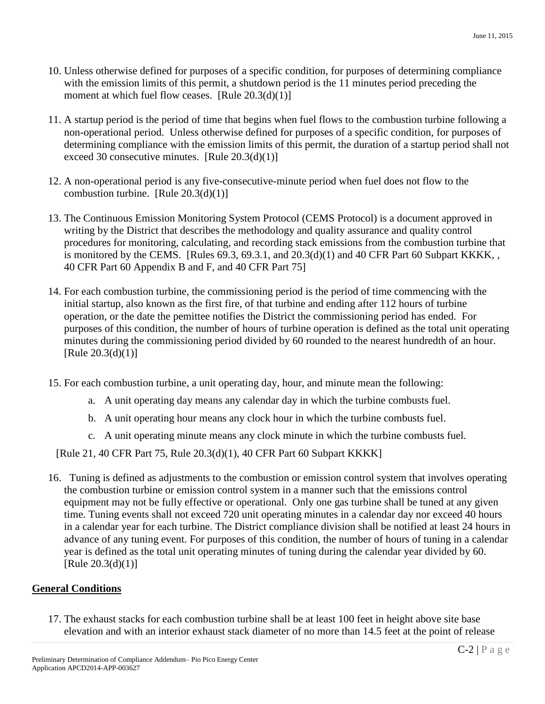- 10. Unless otherwise defined for purposes of a specific condition, for purposes of determining compliance with the emission limits of this permit, a shutdown period is the 11 minutes period preceding the moment at which fuel flow ceases. [Rule 20.3(d)(1)]
- 11. A startup period is the period of time that begins when fuel flows to the combustion turbine following a non-operational period. Unless otherwise defined for purposes of a specific condition, for purposes of determining compliance with the emission limits of this permit, the duration of a startup period shall not exceed 30 consecutive minutes. [Rule  $20.3(d)(1)$ ]
- 12. A non-operational period is any five-consecutive-minute period when fuel does not flow to the combustion turbine. [Rule  $20.3(d)(1)$ ]
- 13. The Continuous Emission Monitoring System Protocol (CEMS Protocol) is a document approved in writing by the District that describes the methodology and quality assurance and quality control procedures for monitoring, calculating, and recording stack emissions from the combustion turbine that is monitored by the CEMS. [Rules  $69.3, 69.3.1$ , and  $20.3(d)(1)$  and  $40$  CFR Part  $60$  Subpart KKKK, , 40 CFR Part 60 Appendix B and F, and 40 CFR Part 75]
- 14. For each combustion turbine, the commissioning period is the period of time commencing with the initial startup, also known as the first fire, of that turbine and ending after 112 hours of turbine operation, or the date the pemittee notifies the District the commissioning period has ended. For purposes of this condition, the number of hours of turbine operation is defined as the total unit operating minutes during the commissioning period divided by 60 rounded to the nearest hundredth of an hour.  $[Rule 20.3(d)(1)]$
- 15. For each combustion turbine, a unit operating day, hour, and minute mean the following:
	- a. A unit operating day means any calendar day in which the turbine combusts fuel.
	- b. A unit operating hour means any clock hour in which the turbine combusts fuel.
	- c. A unit operating minute means any clock minute in which the turbine combusts fuel.

[Rule 21, 40 CFR Part 75, Rule 20.3(d)(1), 40 CFR Part 60 Subpart KKKK]

16. Tuning is defined as adjustments to the combustion or emission control system that involves operating the combustion turbine or emission control system in a manner such that the emissions control equipment may not be fully effective or operational. Only one gas turbine shall be tuned at any given time. Tuning events shall not exceed 720 unit operating minutes in a calendar day nor exceed 40 hours in a calendar year for each turbine. The District compliance division shall be notified at least 24 hours in advance of any tuning event. For purposes of this condition, the number of hours of tuning in a calendar year is defined as the total unit operating minutes of tuning during the calendar year divided by 60. [Rule  $20.3(d)(1)$ ]

#### **General Conditions**

17. The exhaust stacks for each combustion turbine shall be at least 100 feet in height above site base elevation and with an interior exhaust stack diameter of no more than 14.5 feet at the point of release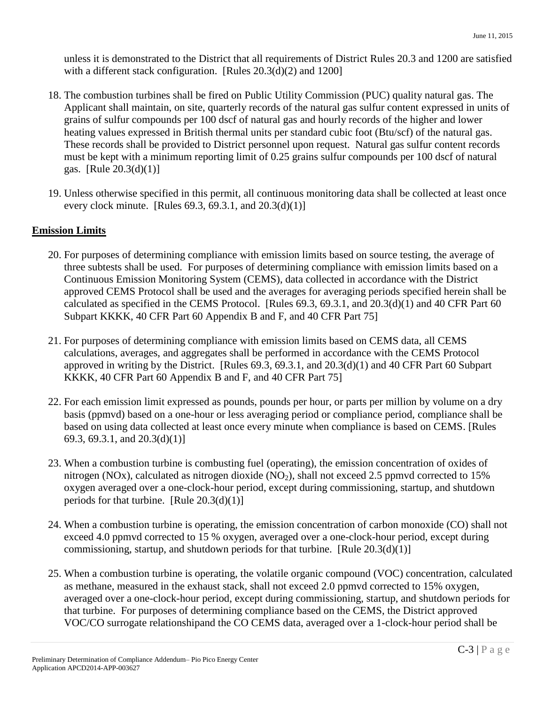unless it is demonstrated to the District that all requirements of District Rules 20.3 and 1200 are satisfied with a different stack configuration. [Rules 20.3(d)(2) and 1200]

- 18. The combustion turbines shall be fired on Public Utility Commission (PUC) quality natural gas. The Applicant shall maintain, on site, quarterly records of the natural gas sulfur content expressed in units of grains of sulfur compounds per 100 dscf of natural gas and hourly records of the higher and lower heating values expressed in British thermal units per standard cubic foot (Btu/scf) of the natural gas. These records shall be provided to District personnel upon request. Natural gas sulfur content records must be kept with a minimum reporting limit of 0.25 grains sulfur compounds per 100 dscf of natural gas. [Rule 20.3(d)(1)]
- 19. Unless otherwise specified in this permit, all continuous monitoring data shall be collected at least once every clock minute. [Rules  $69.3, 69.3.1,$  and  $20.3(d)(1)$ ]

#### **Emission Limits**

- 20. For purposes of determining compliance with emission limits based on source testing, the average of three subtests shall be used. For purposes of determining compliance with emission limits based on a Continuous Emission Monitoring System (CEMS), data collected in accordance with the District approved CEMS Protocol shall be used and the averages for averaging periods specified herein shall be calculated as specified in the CEMS Protocol. [Rules 69.3, 69.3.1, and 20.3(d)(1) and 40 CFR Part 60 Subpart KKKK, 40 CFR Part 60 Appendix B and F, and 40 CFR Part 75]
- 21. For purposes of determining compliance with emission limits based on CEMS data, all CEMS calculations, averages, and aggregates shall be performed in accordance with the CEMS Protocol approved in writing by the District. [Rules 69.3, 69.3.1, and 20.3(d)(1) and 40 CFR Part 60 Subpart KKKK, 40 CFR Part 60 Appendix B and F, and 40 CFR Part 75]
- 22. For each emission limit expressed as pounds, pounds per hour, or parts per million by volume on a dry basis (ppmvd) based on a one-hour or less averaging period or compliance period, compliance shall be based on using data collected at least once every minute when compliance is based on CEMS. [Rules 69.3, 69.3.1, and 20.3(d)(1)]
- 23. When a combustion turbine is combusting fuel (operating), the emission concentration of oxides of nitrogen (NOx), calculated as nitrogen dioxide (NO<sub>2</sub>), shall not exceed 2.5 ppmvd corrected to 15% oxygen averaged over a one-clock-hour period, except during commissioning, startup, and shutdown periods for that turbine. [Rule  $20.3(d)(1)$ ]
- 24. When a combustion turbine is operating, the emission concentration of carbon monoxide (CO) shall not exceed 4.0 ppmvd corrected to 15 % oxygen, averaged over a one-clock-hour period, except during commissioning, startup, and shutdown periods for that turbine. [Rule 20.3(d)(1)]
- 25. When a combustion turbine is operating, the volatile organic compound (VOC) concentration, calculated as methane, measured in the exhaust stack, shall not exceed 2.0 ppmvd corrected to 15% oxygen, averaged over a one-clock-hour period, except during commissioning, startup, and shutdown periods for that turbine. For purposes of determining compliance based on the CEMS, the District approved VOC/CO surrogate relationshipand the CO CEMS data, averaged over a 1-clock-hour period shall be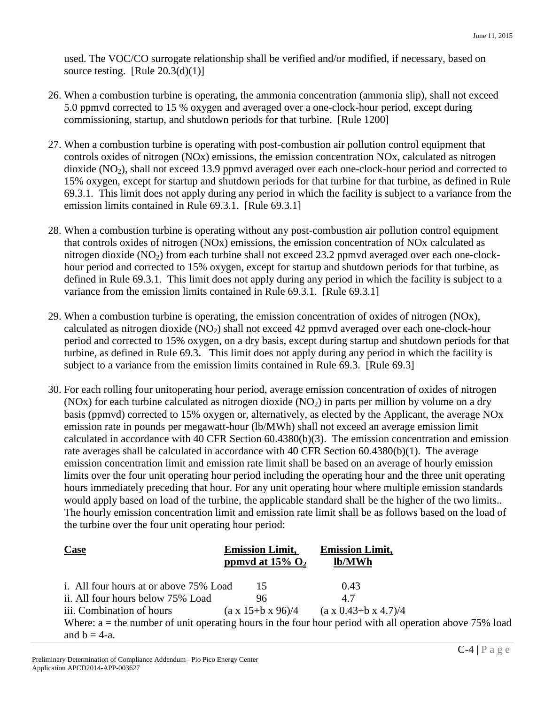used. The VOC/CO surrogate relationship shall be verified and/or modified, if necessary, based on source testing. [Rule  $20.3(d)(1)$ ]

- 26. When a combustion turbine is operating, the ammonia concentration (ammonia slip), shall not exceed 5.0 ppmvd corrected to 15 % oxygen and averaged over a one-clock-hour period, except during commissioning, startup, and shutdown periods for that turbine. [Rule 1200]
- 27. When a combustion turbine is operating with post-combustion air pollution control equipment that controls oxides of nitrogen (NOx) emissions, the emission concentration NOx, calculated as nitrogen dioxide  $(NO<sub>2</sub>)$ , shall not exceed 13.9 ppmvd averaged over each one-clock-hour period and corrected to 15% oxygen, except for startup and shutdown periods for that turbine for that turbine, as defined in Rule 69.3.1. This limit does not apply during any period in which the facility is subject to a variance from the emission limits contained in Rule 69.3.1. [Rule 69.3.1]
- 28. When a combustion turbine is operating without any post-combustion air pollution control equipment that controls oxides of nitrogen (NOx) emissions, the emission concentration of NOx calculated as nitrogen dioxide (NO<sub>2</sub>) from each turbine shall not exceed 23.2 ppmvd averaged over each one-clockhour period and corrected to 15% oxygen, except for startup and shutdown periods for that turbine, as defined in Rule 69.3.1. This limit does not apply during any period in which the facility is subject to a variance from the emission limits contained in Rule 69.3.1. [Rule 69.3.1]
- 29. When a combustion turbine is operating, the emission concentration of oxides of nitrogen (NOx), calculated as nitrogen dioxide (NO<sub>2</sub>) shall not exceed 42 ppmvd averaged over each one-clock-hour period and corrected to 15% oxygen, on a dry basis, except during startup and shutdown periods for that turbine, as defined in Rule 69.3**.** This limit does not apply during any period in which the facility is subject to a variance from the emission limits contained in Rule 69.3. [Rule 69.3]
- 30. For each rolling four unitoperating hour period, average emission concentration of oxides of nitrogen (NOx) for each turbine calculated as nitrogen dioxide  $(NO<sub>2</sub>)$  in parts per million by volume on a dry basis (ppmvd) corrected to 15% oxygen or, alternatively, as elected by the Applicant, the average NOx emission rate in pounds per megawatt-hour (lb/MWh) shall not exceed an average emission limit calculated in accordance with 40 CFR Section 60.4380(b)(3). The emission concentration and emission rate averages shall be calculated in accordance with 40 CFR Section 60.4380(b)(1). The average emission concentration limit and emission rate limit shall be based on an average of hourly emission limits over the four unit operating hour period including the operating hour and the three unit operating hours immediately preceding that hour. For any unit operating hour where multiple emission standards would apply based on load of the turbine, the applicable standard shall be the higher of the two limits.. The hourly emission concentration limit and emission rate limit shall be as follows based on the load of the turbine over the four unit operating hour period:

| <b>Case</b>                                                                                               | <b>Emission Limit,</b>          | <b>Emission Limit,</b>             |
|-----------------------------------------------------------------------------------------------------------|---------------------------------|------------------------------------|
|                                                                                                           | ppmvd at $15\%$ O <sub>2</sub>  | lb/MWh                             |
|                                                                                                           |                                 |                                    |
| i. All four hours at or above 75% Load                                                                    | 15                              | 0.43                               |
| ii. All four hours below 75% Load                                                                         | 96                              | 4.7                                |
| iii. Combination of hours                                                                                 | $(a \times 15 + b \times 96)/4$ | $(a \times 0.43 + b \times 4.7)/4$ |
| Where: $a =$ the number of unit operating hours in the four hour period with all operation above 75% load |                                 |                                    |
| and $b = 4-a$ .                                                                                           |                                 |                                    |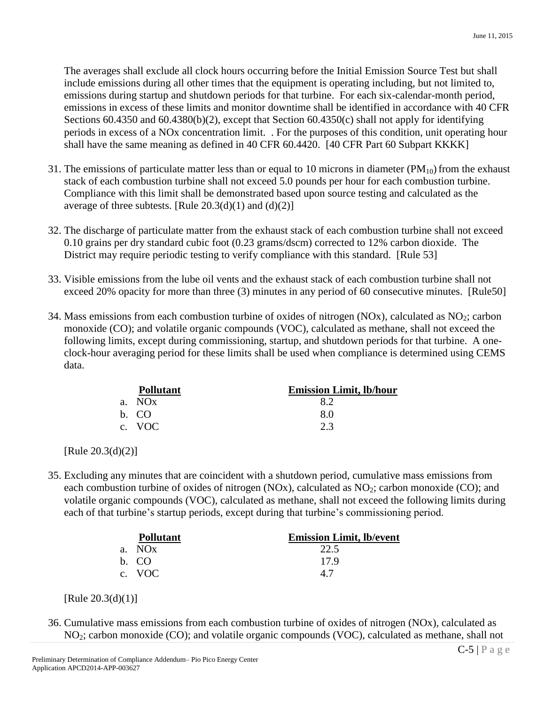The averages shall exclude all clock hours occurring before the Initial Emission Source Test but shall include emissions during all other times that the equipment is operating including, but not limited to, emissions during startup and shutdown periods for that turbine. For each six-calendar-month period, emissions in excess of these limits and monitor downtime shall be identified in accordance with 40 CFR Sections 60.4350 and 60.4380(b)(2), except that Section 60.4350(c) shall not apply for identifying periods in excess of a NOx concentration limit. . For the purposes of this condition, unit operating hour shall have the same meaning as defined in 40 CFR 60.4420. [40 CFR Part 60 Subpart KKKK]

- 31. The emissions of particulate matter less than or equal to 10 microns in diameter  $(PM_{10})$  from the exhaust stack of each combustion turbine shall not exceed 5.0 pounds per hour for each combustion turbine. Compliance with this limit shall be demonstrated based upon source testing and calculated as the average of three subtests. [Rule  $20.3(d)(1)$  and  $(d)(2)$ ]
- 32. The discharge of particulate matter from the exhaust stack of each combustion turbine shall not exceed 0.10 grains per dry standard cubic foot (0.23 grams/dscm) corrected to 12% carbon dioxide. The District may require periodic testing to verify compliance with this standard. [Rule 53]
- 33. Visible emissions from the lube oil vents and the exhaust stack of each combustion turbine shall not exceed 20% opacity for more than three (3) minutes in any period of 60 consecutive minutes. [Rule50]
- 34. Mass emissions from each combustion turbine of oxides of nitrogen  $(NOx)$ , calculated as  $NO<sub>2</sub>$ ; carbon monoxide (CO); and volatile organic compounds (VOC), calculated as methane, shall not exceed the following limits, except during commissioning, startup, and shutdown periods for that turbine. A oneclock-hour averaging period for these limits shall be used when compliance is determined using CEMS data.

| <b>Pollutant</b> | <b>Emission Limit, lb/hour</b> |
|------------------|--------------------------------|
| a. NOx           | 82                             |
| b. CO            | 80                             |
| c. VOC           | つ 3                            |

[Rule 20.3(d)(2)]

35. Excluding any minutes that are coincident with a shutdown period, cumulative mass emissions from each combustion turbine of oxides of nitrogen (NOx), calculated as  $NO<sub>2</sub>$ ; carbon monoxide (CO); and volatile organic compounds (VOC), calculated as methane, shall not exceed the following limits during each of that turbine's startup periods, except during that turbine's commissioning period.

| <b>Pollutant</b> | <b>Emission Limit, lb/event</b> |
|------------------|---------------------------------|
| a. NOx           | 22.5                            |
| b. CO            | 179                             |
| c. VOC           | 4.7                             |

<sup>[</sup>Rule 20.3(d)(1)]

36. Cumulative mass emissions from each combustion turbine of oxides of nitrogen (NOx), calculated as NO2; carbon monoxide (CO); and volatile organic compounds (VOC), calculated as methane, shall not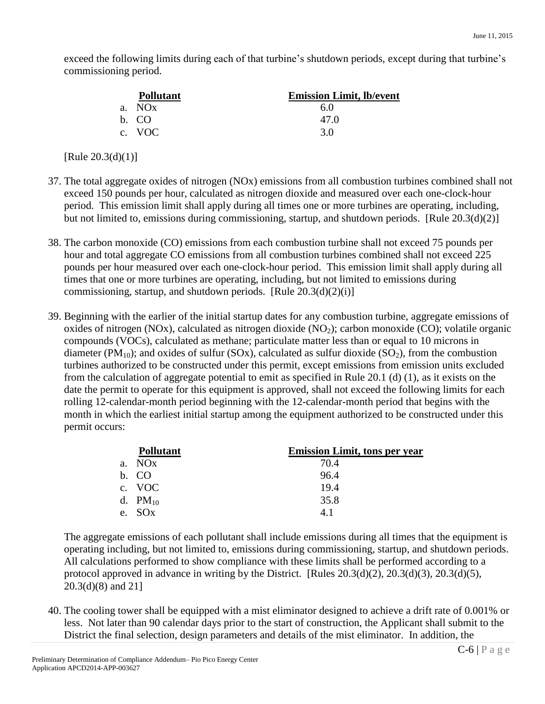exceed the following limits during each of that turbine's shutdown periods, except during that turbine's commissioning period.

|       | <b>Pollutant</b> | <b>Emission Limit, lb/event</b> |
|-------|------------------|---------------------------------|
|       | a. NOx           | 60                              |
| b. CO |                  | 47.O                            |
|       | c. VOC           | 3.0                             |

 $[Rule 20.3(d)(1)]$ 

- 37. The total aggregate oxides of nitrogen (NOx) emissions from all combustion turbines combined shall not exceed 150 pounds per hour, calculated as nitrogen dioxide and measured over each one-clock-hour period. This emission limit shall apply during all times one or more turbines are operating, including, but not limited to, emissions during commissioning, startup, and shutdown periods. [Rule 20.3(d)(2)]
- 38. The carbon monoxide (CO) emissions from each combustion turbine shall not exceed 75 pounds per hour and total aggregate CO emissions from all combustion turbines combined shall not exceed 225 pounds per hour measured over each one-clock-hour period. This emission limit shall apply during all times that one or more turbines are operating, including, but not limited to emissions during commissioning, startup, and shutdown periods. [Rule  $20.3(d)(2)(i)$ ]
- 39. Beginning with the earlier of the initial startup dates for any combustion turbine, aggregate emissions of oxides of nitrogen (NOx), calculated as nitrogen dioxide (NO<sub>2</sub>); carbon monoxide (CO); volatile organic compounds (VOCs), calculated as methane; particulate matter less than or equal to 10 microns in diameter (PM<sub>10</sub>); and oxides of sulfur (SOx), calculated as sulfur dioxide (SO<sub>2</sub>), from the combustion turbines authorized to be constructed under this permit, except emissions from emission units excluded from the calculation of aggregate potential to emit as specified in Rule 20.1 (d) (1), as it exists on the date the permit to operate for this equipment is approved, shall not exceed the following limits for each rolling 12-calendar-month period beginning with the 12-calendar-month period that begins with the month in which the earliest initial startup among the equipment authorized to be constructed under this permit occurs:

| <b>Pollutant</b> | <b>Emission Limit, tons per year</b> |
|------------------|--------------------------------------|
| a. NOx           | 70.4                                 |
| b. CO            | 96.4                                 |
| c. VOC           | 19.4                                 |
| d. $PM_{10}$     | 35.8                                 |
| e. SOx           | 41                                   |

The aggregate emissions of each pollutant shall include emissions during all times that the equipment is operating including, but not limited to, emissions during commissioning, startup, and shutdown periods. All calculations performed to show compliance with these limits shall be performed according to a protocol approved in advance in writing by the District. [Rules  $20.3(d)(2)$ ,  $20.3(d)(3)$ ,  $20.3(d)(5)$ , 20.3(d)(8) and 21]

40. The cooling tower shall be equipped with a mist eliminator designed to achieve a drift rate of 0.001% or less. Not later than 90 calendar days prior to the start of construction, the Applicant shall submit to the District the final selection, design parameters and details of the mist eliminator. In addition, the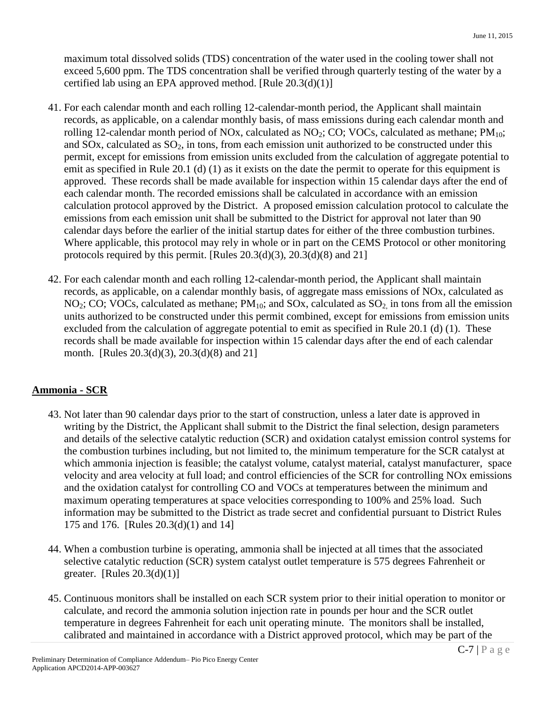maximum total dissolved solids (TDS) concentration of the water used in the cooling tower shall not exceed 5,600 ppm. The TDS concentration shall be verified through quarterly testing of the water by a certified lab using an EPA approved method. [Rule  $20.3(d)(1)$ ]

- 41. For each calendar month and each rolling 12-calendar-month period, the Applicant shall maintain records, as applicable, on a calendar monthly basis, of mass emissions during each calendar month and rolling 12-calendar month period of NOx, calculated as  $NO<sub>2</sub>$ ; CO; VOCs, calculated as methane; PM<sub>10</sub>; and SOx, calculated as  $SO_2$ , in tons, from each emission unit authorized to be constructed under this permit, except for emissions from emission units excluded from the calculation of aggregate potential to emit as specified in Rule 20.1 (d) (1) as it exists on the date the permit to operate for this equipment is approved. These records shall be made available for inspection within 15 calendar days after the end of each calendar month. The recorded emissions shall be calculated in accordance with an emission calculation protocol approved by the District. A proposed emission calculation protocol to calculate the emissions from each emission unit shall be submitted to the District for approval not later than 90 calendar days before the earlier of the initial startup dates for either of the three combustion turbines. Where applicable, this protocol may rely in whole or in part on the CEMS Protocol or other monitoring protocols required by this permit. [Rules  $20.3(d)(3)$ ,  $20.3(d)(8)$  and  $21$ ]
- 42. For each calendar month and each rolling 12-calendar-month period, the Applicant shall maintain records, as applicable, on a calendar monthly basis, of aggregate mass emissions of NOx, calculated as  $NO<sub>2</sub>; CO; VOCs, calculated as methane; PM<sub>10</sub>; and SOx, calculated as SO<sub>2</sub> in tons from all the emission$ units authorized to be constructed under this permit combined, except for emissions from emission units excluded from the calculation of aggregate potential to emit as specified in Rule 20.1 (d) (1). These records shall be made available for inspection within 15 calendar days after the end of each calendar month. [Rules 20.3(d)(3), 20.3(d)(8) and 21]

### **Ammonia - SCR**

- 43. Not later than 90 calendar days prior to the start of construction, unless a later date is approved in writing by the District, the Applicant shall submit to the District the final selection, design parameters and details of the selective catalytic reduction (SCR) and oxidation catalyst emission control systems for the combustion turbines including, but not limited to, the minimum temperature for the SCR catalyst at which ammonia injection is feasible; the catalyst volume, catalyst material, catalyst manufacturer, space velocity and area velocity at full load; and control efficiencies of the SCR for controlling NOx emissions and the oxidation catalyst for controlling CO and VOCs at temperatures between the minimum and maximum operating temperatures at space velocities corresponding to 100% and 25% load. Such information may be submitted to the District as trade secret and confidential pursuant to District Rules 175 and 176. [Rules 20.3(d)(1) and 14]
- 44. When a combustion turbine is operating, ammonia shall be injected at all times that the associated selective catalytic reduction (SCR) system catalyst outlet temperature is 575 degrees Fahrenheit or greater. [Rules  $20.3(d)(1)$ ]
- 45. Continuous monitors shall be installed on each SCR system prior to their initial operation to monitor or calculate, and record the ammonia solution injection rate in pounds per hour and the SCR outlet temperature in degrees Fahrenheit for each unit operating minute. The monitors shall be installed, calibrated and maintained in accordance with a District approved protocol, which may be part of the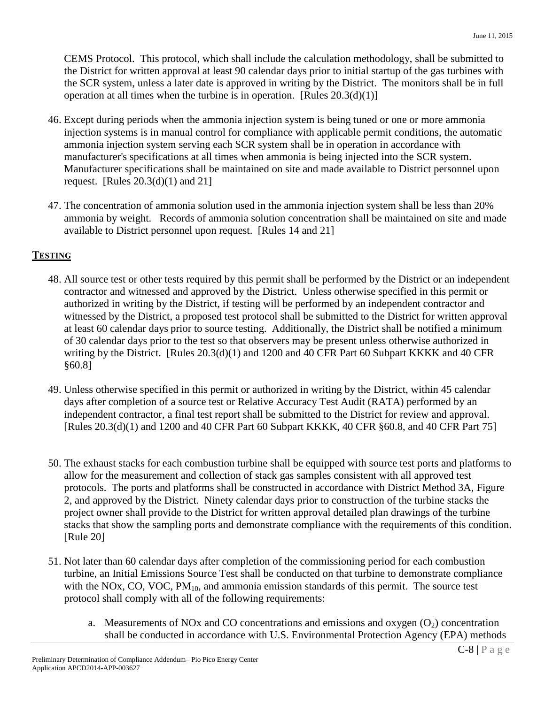CEMS Protocol. This protocol, which shall include the calculation methodology, shall be submitted to the District for written approval at least 90 calendar days prior to initial startup of the gas turbines with the SCR system, unless a later date is approved in writing by the District. The monitors shall be in full operation at all times when the turbine is in operation. [Rules  $20.3(d)(1)$ ]

- 46. Except during periods when the ammonia injection system is being tuned or one or more ammonia injection systems is in manual control for compliance with applicable permit conditions, the automatic ammonia injection system serving each SCR system shall be in operation in accordance with manufacturer's specifications at all times when ammonia is being injected into the SCR system. Manufacturer specifications shall be maintained on site and made available to District personnel upon request. [Rules 20.3(d)(1) and 21]
- 47. The concentration of ammonia solution used in the ammonia injection system shall be less than 20% ammonia by weight. Records of ammonia solution concentration shall be maintained on site and made available to District personnel upon request. [Rules 14 and 21]

#### **TESTING**

- 48. All source test or other tests required by this permit shall be performed by the District or an independent contractor and witnessed and approved by the District. Unless otherwise specified in this permit or authorized in writing by the District, if testing will be performed by an independent contractor and witnessed by the District, a proposed test protocol shall be submitted to the District for written approval at least 60 calendar days prior to source testing. Additionally, the District shall be notified a minimum of 30 calendar days prior to the test so that observers may be present unless otherwise authorized in writing by the District. [Rules 20.3(d)(1) and 1200 and 40 CFR Part 60 Subpart KKKK and 40 CFR §60.8]
- 49. Unless otherwise specified in this permit or authorized in writing by the District, within 45 calendar days after completion of a source test or Relative Accuracy Test Audit (RATA) performed by an independent contractor, a final test report shall be submitted to the District for review and approval. [Rules 20.3(d)(1) and 1200 and 40 CFR Part 60 Subpart KKKK, 40 CFR §60.8, and 40 CFR Part 75]
- 50. The exhaust stacks for each combustion turbine shall be equipped with source test ports and platforms to allow for the measurement and collection of stack gas samples consistent with all approved test protocols. The ports and platforms shall be constructed in accordance with District Method 3A, Figure 2, and approved by the District. Ninety calendar days prior to construction of the turbine stacks the project owner shall provide to the District for written approval detailed plan drawings of the turbine stacks that show the sampling ports and demonstrate compliance with the requirements of this condition. [Rule 20]
- 51. Not later than 60 calendar days after completion of the commissioning period for each combustion turbine, an Initial Emissions Source Test shall be conducted on that turbine to demonstrate compliance with the NOx, CO, VOC,  $PM_{10}$ , and ammonia emission standards of this permit. The source test protocol shall comply with all of the following requirements:
	- a. Measurements of NOx and CO concentrations and emissions and oxygen  $(O_2)$  concentration shall be conducted in accordance with U.S. Environmental Protection Agency (EPA) methods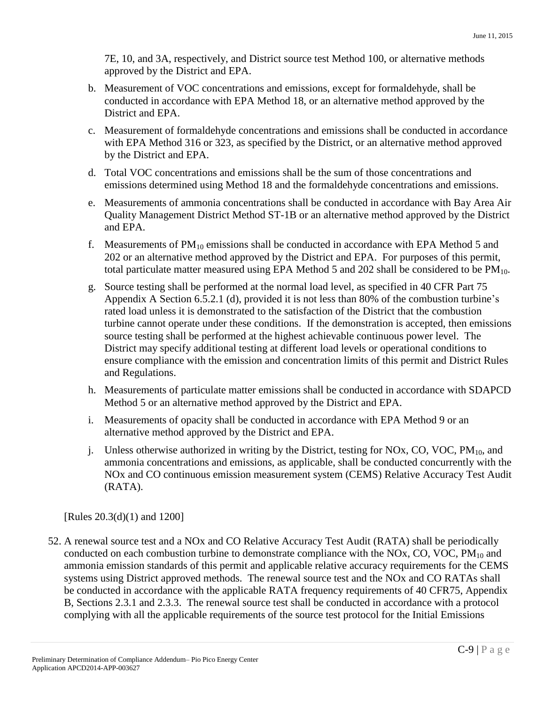7E, 10, and 3A, respectively, and District source test Method 100, or alternative methods approved by the District and EPA.

- b. Measurement of VOC concentrations and emissions, except for formaldehyde, shall be conducted in accordance with EPA Method 18, or an alternative method approved by the District and EPA.
- c. Measurement of formaldehyde concentrations and emissions shall be conducted in accordance with EPA Method 316 or 323, as specified by the District, or an alternative method approved by the District and EPA.
- d. Total VOC concentrations and emissions shall be the sum of those concentrations and emissions determined using Method 18 and the formaldehyde concentrations and emissions.
- e. Measurements of ammonia concentrations shall be conducted in accordance with Bay Area Air Quality Management District Method ST-1B or an alternative method approved by the District and EPA.
- f. Measurements of  $PM_{10}$  emissions shall be conducted in accordance with EPA Method 5 and 202 or an alternative method approved by the District and EPA. For purposes of this permit, total particulate matter measured using EPA Method 5 and 202 shall be considered to be  $PM_{10}$ .
- g. Source testing shall be performed at the normal load level, as specified in 40 CFR Part 75 Appendix A Section 6.5.2.1 (d), provided it is not less than 80% of the combustion turbine's rated load unless it is demonstrated to the satisfaction of the District that the combustion turbine cannot operate under these conditions. If the demonstration is accepted, then emissions source testing shall be performed at the highest achievable continuous power level. The District may specify additional testing at different load levels or operational conditions to ensure compliance with the emission and concentration limits of this permit and District Rules and Regulations.
- h. Measurements of particulate matter emissions shall be conducted in accordance with SDAPCD Method 5 or an alternative method approved by the District and EPA.
- i. Measurements of opacity shall be conducted in accordance with EPA Method 9 or an alternative method approved by the District and EPA.
- j. Unless otherwise authorized in writing by the District, testing for NOx, CO, VOC,  $PM_{10}$ , and ammonia concentrations and emissions, as applicable, shall be conducted concurrently with the NOx and CO continuous emission measurement system (CEMS) Relative Accuracy Test Audit (RATA).

[Rules 20.3(d)(1) and 1200]

52. A renewal source test and a NOx and CO Relative Accuracy Test Audit (RATA) shall be periodically conducted on each combustion turbine to demonstrate compliance with the NOx, CO, VOC,  $PM_{10}$  and ammonia emission standards of this permit and applicable relative accuracy requirements for the CEMS systems using District approved methods. The renewal source test and the NOx and CO RATAs shall be conducted in accordance with the applicable RATA frequency requirements of 40 CFR75, Appendix B, Sections 2.3.1 and 2.3.3. The renewal source test shall be conducted in accordance with a protocol complying with all the applicable requirements of the source test protocol for the Initial Emissions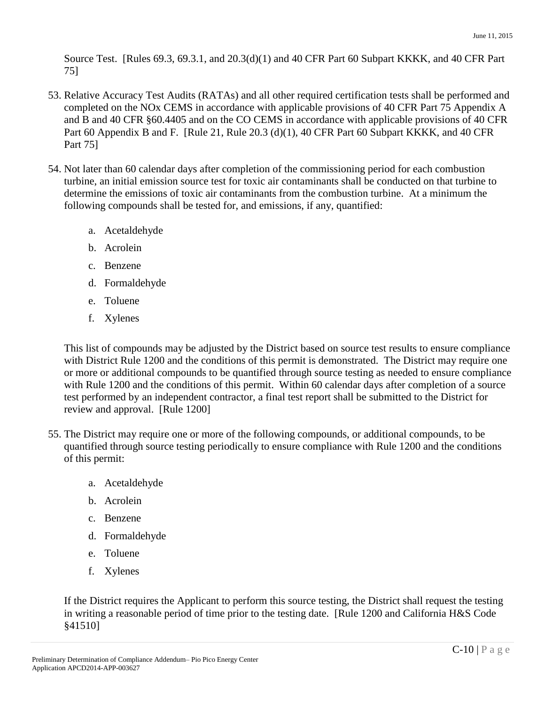Source Test. [Rules 69.3, 69.3.1, and 20.3(d)(1) and 40 CFR Part 60 Subpart KKKK, and 40 CFR Part 75]

- 53. Relative Accuracy Test Audits (RATAs) and all other required certification tests shall be performed and completed on the NOx CEMS in accordance with applicable provisions of 40 CFR Part 75 Appendix A and B and 40 CFR §60.4405 and on the CO CEMS in accordance with applicable provisions of 40 CFR Part 60 Appendix B and F. [Rule 21, Rule 20.3 (d)(1), 40 CFR Part 60 Subpart KKKK, and 40 CFR Part 75]
- 54. Not later than 60 calendar days after completion of the commissioning period for each combustion turbine, an initial emission source test for toxic air contaminants shall be conducted on that turbine to determine the emissions of toxic air contaminants from the combustion turbine. At a minimum the following compounds shall be tested for, and emissions, if any, quantified:
	- a. Acetaldehyde
	- b. Acrolein
	- c. Benzene
	- d. Formaldehyde
	- e. Toluene
	- f. Xylenes

This list of compounds may be adjusted by the District based on source test results to ensure compliance with District Rule 1200 and the conditions of this permit is demonstrated. The District may require one or more or additional compounds to be quantified through source testing as needed to ensure compliance with Rule 1200 and the conditions of this permit. Within 60 calendar days after completion of a source test performed by an independent contractor, a final test report shall be submitted to the District for review and approval. [Rule 1200]

- 55. The District may require one or more of the following compounds, or additional compounds, to be quantified through source testing periodically to ensure compliance with Rule 1200 and the conditions of this permit:
	- a. Acetaldehyde
	- b. Acrolein
	- c. Benzene
	- d. Formaldehyde
	- e. Toluene
	- f. Xylenes

If the District requires the Applicant to perform this source testing, the District shall request the testing in writing a reasonable period of time prior to the testing date. [Rule 1200 and California H&S Code §41510]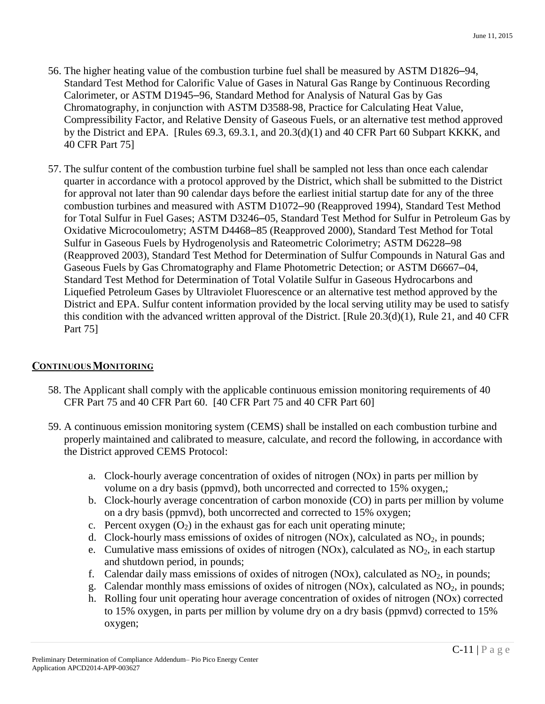- 56. The higher heating value of the combustion turbine fuel shall be measured by ASTM D1826–94, Standard Test Method for Calorific Value of Gases in Natural Gas Range by Continuous Recording Calorimeter, or ASTM D1945–96, Standard Method for Analysis of Natural Gas by Gas Chromatography, in conjunction with ASTM D3588-98, Practice for Calculating Heat Value, Compressibility Factor, and Relative Density of Gaseous Fuels, or an alternative test method approved by the District and EPA. [Rules 69.3, 69.3.1, and 20.3(d)(1) and 40 CFR Part 60 Subpart KKKK, and 40 CFR Part 75]
- 57. The sulfur content of the combustion turbine fuel shall be sampled not less than once each calendar quarter in accordance with a protocol approved by the District, which shall be submitted to the District for approval not later than 90 calendar days before the earliest initial startup date for any of the three combustion turbines and measured with ASTM D1072–90 (Reapproved 1994), Standard Test Method for Total Sulfur in Fuel Gases; ASTM D3246–05, Standard Test Method for Sulfur in Petroleum Gas by Oxidative Microcoulometry; ASTM D4468–85 (Reapproved 2000), Standard Test Method for Total Sulfur in Gaseous Fuels by Hydrogenolysis and Rateometric Colorimetry; ASTM D6228–98 (Reapproved 2003), Standard Test Method for Determination of Sulfur Compounds in Natural Gas and Gaseous Fuels by Gas Chromatography and Flame Photometric Detection; or ASTM D6667–04, Standard Test Method for Determination of Total Volatile Sulfur in Gaseous Hydrocarbons and Liquefied Petroleum Gases by Ultraviolet Fluorescence or an alternative test method approved by the District and EPA. Sulfur content information provided by the local serving utility may be used to satisfy this condition with the advanced written approval of the District. [Rule 20.3(d)(1), Rule 21, and 40 CFR Part 75]

#### **CONTINUOUS MONITORING**

- 58. The Applicant shall comply with the applicable continuous emission monitoring requirements of 40 CFR Part 75 and 40 CFR Part 60. [40 CFR Part 75 and 40 CFR Part 60]
- 59. A continuous emission monitoring system (CEMS) shall be installed on each combustion turbine and properly maintained and calibrated to measure, calculate, and record the following, in accordance with the District approved CEMS Protocol:
	- a. Clock-hourly average concentration of oxides of nitrogen (NOx) in parts per million by volume on a dry basis (ppmvd), both uncorrected and corrected to 15% oxygen,;
	- b. Clock-hourly average concentration of carbon monoxide (CO) in parts per million by volume on a dry basis (ppmvd), both uncorrected and corrected to 15% oxygen;
	- c. Percent oxygen  $(O_2)$  in the exhaust gas for each unit operating minute;
	- d. Clock-hourly mass emissions of oxides of nitrogen (NOx), calculated as  $NO<sub>2</sub>$ , in pounds;
	- e. Cumulative mass emissions of oxides of nitrogen (NOx), calculated as  $NO<sub>2</sub>$ , in each startup and shutdown period, in pounds;
	- f. Calendar daily mass emissions of oxides of nitrogen (NOx), calculated as  $NO<sub>2</sub>$ , in pounds;
	- g. Calendar monthly mass emissions of oxides of nitrogen (NOx), calculated as  $NO<sub>2</sub>$ , in pounds;
	- h. Rolling four unit operating hour average concentration of oxides of nitrogen (NOx) corrected to 15% oxygen, in parts per million by volume dry on a dry basis (ppmvd) corrected to 15% oxygen;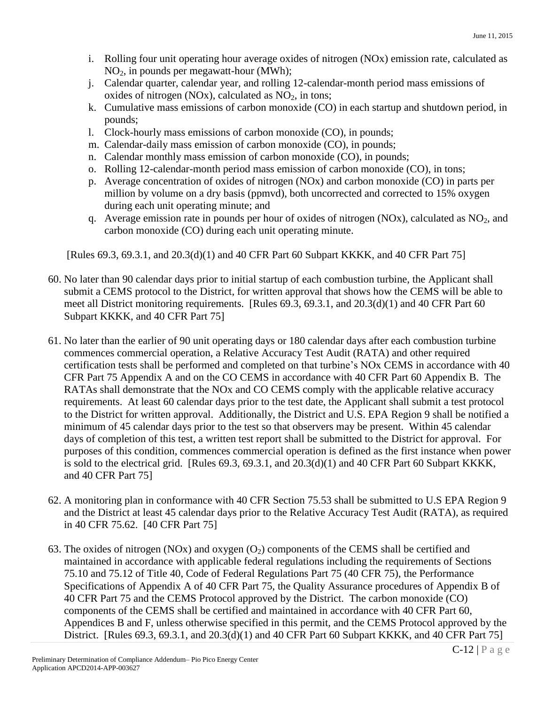- i. Rolling four unit operating hour average oxides of nitrogen (NOx) emission rate, calculated as NO2, in pounds per megawatt-hour (MWh);
- j. Calendar quarter, calendar year, and rolling 12-calendar-month period mass emissions of oxides of nitrogen (NOx), calculated as  $NO<sub>2</sub>$ , in tons;
- k. Cumulative mass emissions of carbon monoxide (CO) in each startup and shutdown period, in pounds;
- l. Clock-hourly mass emissions of carbon monoxide (CO), in pounds;
- m. Calendar-daily mass emission of carbon monoxide (CO), in pounds;
- n. Calendar monthly mass emission of carbon monoxide (CO), in pounds;
- o. Rolling 12-calendar-month period mass emission of carbon monoxide (CO), in tons;
- p. Average concentration of oxides of nitrogen (NOx) and carbon monoxide (CO) in parts per million by volume on a dry basis (ppmvd), both uncorrected and corrected to 15% oxygen during each unit operating minute; and
- q. Average emission rate in pounds per hour of oxides of nitrogen (NOx), calculated as  $NO<sub>2</sub>$ , and carbon monoxide (CO) during each unit operating minute.

[Rules 69.3, 69.3.1, and 20.3(d)(1) and 40 CFR Part 60 Subpart KKKK, and 40 CFR Part 75]

- 60. No later than 90 calendar days prior to initial startup of each combustion turbine, the Applicant shall submit a CEMS protocol to the District, for written approval that shows how the CEMS will be able to meet all District monitoring requirements. [Rules 69.3, 69.3.1, and 20.3(d)(1) and 40 CFR Part 60 Subpart KKKK, and 40 CFR Part 75]
- 61. No later than the earlier of 90 unit operating days or 180 calendar days after each combustion turbine commences commercial operation, a Relative Accuracy Test Audit (RATA) and other required certification tests shall be performed and completed on that turbine's NOx CEMS in accordance with 40 CFR Part 75 Appendix A and on the CO CEMS in accordance with 40 CFR Part 60 Appendix B. The RATAs shall demonstrate that the NOx and CO CEMS comply with the applicable relative accuracy requirements. At least 60 calendar days prior to the test date, the Applicant shall submit a test protocol to the District for written approval. Additionally, the District and U.S. EPA Region 9 shall be notified a minimum of 45 calendar days prior to the test so that observers may be present. Within 45 calendar days of completion of this test, a written test report shall be submitted to the District for approval. For purposes of this condition, commences commercial operation is defined as the first instance when power is sold to the electrical grid. [Rules 69.3, 69.3.1, and 20.3(d)(1) and 40 CFR Part 60 Subpart KKKK, and 40 CFR Part 75]
- 62. A monitoring plan in conformance with 40 CFR Section 75.53 shall be submitted to U.S EPA Region 9 and the District at least 45 calendar days prior to the Relative Accuracy Test Audit (RATA), as required in 40 CFR 75.62. [40 CFR Part 75]
- 63. The oxides of nitrogen (NOx) and oxygen  $(O_2)$  components of the CEMS shall be certified and maintained in accordance with applicable federal regulations including the requirements of Sections 75.10 and 75.12 of Title 40, Code of Federal Regulations Part 75 (40 CFR 75), the Performance Specifications of Appendix A of 40 CFR Part 75, the Quality Assurance procedures of Appendix B of 40 CFR Part 75 and the CEMS Protocol approved by the District. The carbon monoxide (CO) components of the CEMS shall be certified and maintained in accordance with 40 CFR Part 60, Appendices B and F, unless otherwise specified in this permit, and the CEMS Protocol approved by the District. [Rules 69.3, 69.3.1, and 20.3(d)(1) and 40 CFR Part 60 Subpart KKKK, and 40 CFR Part 75]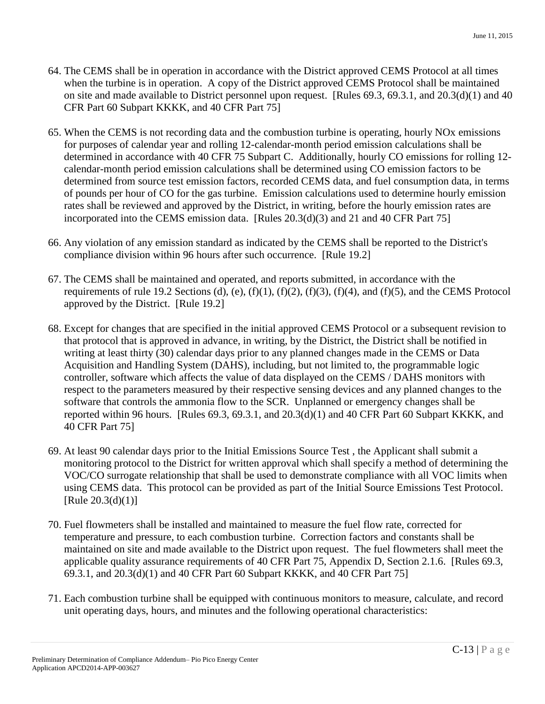- 64. The CEMS shall be in operation in accordance with the District approved CEMS Protocol at all times when the turbine is in operation. A copy of the District approved CEMS Protocol shall be maintained on site and made available to District personnel upon request. [Rules 69.3, 69.3.1, and 20.3(d)(1) and 40 CFR Part 60 Subpart KKKK, and 40 CFR Part 75]
- 65. When the CEMS is not recording data and the combustion turbine is operating, hourly NOx emissions for purposes of calendar year and rolling 12-calendar-month period emission calculations shall be determined in accordance with 40 CFR 75 Subpart C. Additionally, hourly CO emissions for rolling 12 calendar-month period emission calculations shall be determined using CO emission factors to be determined from source test emission factors, recorded CEMS data, and fuel consumption data, in terms of pounds per hour of CO for the gas turbine. Emission calculations used to determine hourly emission rates shall be reviewed and approved by the District, in writing, before the hourly emission rates are incorporated into the CEMS emission data. [Rules 20.3(d)(3) and 21 and 40 CFR Part 75]
- 66. Any violation of any emission standard as indicated by the CEMS shall be reported to the District's compliance division within 96 hours after such occurrence. [Rule 19.2]
- 67. The CEMS shall be maintained and operated, and reports submitted, in accordance with the requirements of rule 19.2 Sections (d), (e), (f)(1), (f)(2), (f)(3), (f)(4), and (f)(5), and the CEMS Protocol approved by the District. [Rule 19.2]
- 68. Except for changes that are specified in the initial approved CEMS Protocol or a subsequent revision to that protocol that is approved in advance, in writing, by the District, the District shall be notified in writing at least thirty (30) calendar days prior to any planned changes made in the CEMS or Data Acquisition and Handling System (DAHS), including, but not limited to, the programmable logic controller, software which affects the value of data displayed on the CEMS / DAHS monitors with respect to the parameters measured by their respective sensing devices and any planned changes to the software that controls the ammonia flow to the SCR. Unplanned or emergency changes shall be reported within 96 hours. [Rules 69.3, 69.3.1, and 20.3(d)(1) and 40 CFR Part 60 Subpart KKKK, and 40 CFR Part 75]
- 69. At least 90 calendar days prior to the Initial Emissions Source Test , the Applicant shall submit a monitoring protocol to the District for written approval which shall specify a method of determining the VOC/CO surrogate relationship that shall be used to demonstrate compliance with all VOC limits when using CEMS data. This protocol can be provided as part of the Initial Source Emissions Test Protocol.  $[Rule 20.3(d)(1)]$
- 70. Fuel flowmeters shall be installed and maintained to measure the fuel flow rate, corrected for temperature and pressure, to each combustion turbine. Correction factors and constants shall be maintained on site and made available to the District upon request. The fuel flowmeters shall meet the applicable quality assurance requirements of 40 CFR Part 75, Appendix D, Section 2.1.6. [Rules 69.3, 69.3.1, and 20.3(d)(1) and 40 CFR Part 60 Subpart KKKK, and 40 CFR Part 75]
- 71. Each combustion turbine shall be equipped with continuous monitors to measure, calculate, and record unit operating days, hours, and minutes and the following operational characteristics: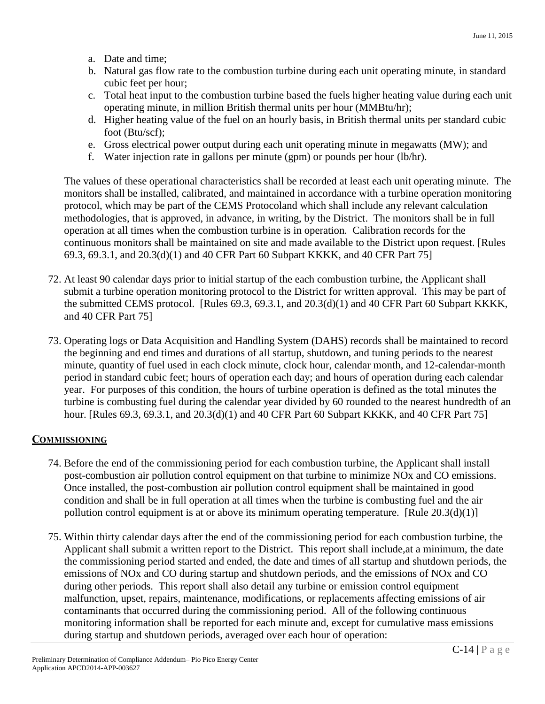- a. Date and time;
- b. Natural gas flow rate to the combustion turbine during each unit operating minute, in standard cubic feet per hour;
- c. Total heat input to the combustion turbine based the fuels higher heating value during each unit operating minute, in million British thermal units per hour (MMBtu/hr);
- d. Higher heating value of the fuel on an hourly basis, in British thermal units per standard cubic foot (Btu/scf);
- e. Gross electrical power output during each unit operating minute in megawatts (MW); and
- f. Water injection rate in gallons per minute (gpm) or pounds per hour (lb/hr).

The values of these operational characteristics shall be recorded at least each unit operating minute. The monitors shall be installed, calibrated, and maintained in accordance with a turbine operation monitoring protocol, which may be part of the CEMS Protocoland which shall include any relevant calculation methodologies, that is approved, in advance, in writing, by the District. The monitors shall be in full operation at all times when the combustion turbine is in operation*.* Calibration records for the continuous monitors shall be maintained on site and made available to the District upon request. [Rules 69.3, 69.3.1, and 20.3(d)(1) and 40 CFR Part 60 Subpart KKKK, and 40 CFR Part 75]

- 72. At least 90 calendar days prior to initial startup of the each combustion turbine, the Applicant shall submit a turbine operation monitoring protocol to the District for written approval. This may be part of the submitted CEMS protocol. [Rules 69.3, 69.3.1, and 20.3(d)(1) and 40 CFR Part 60 Subpart KKKK, and 40 CFR Part 75]
- 73. Operating logs or Data Acquisition and Handling System (DAHS) records shall be maintained to record the beginning and end times and durations of all startup, shutdown, and tuning periods to the nearest minute, quantity of fuel used in each clock minute, clock hour, calendar month, and 12-calendar-month period in standard cubic feet; hours of operation each day; and hours of operation during each calendar year. For purposes of this condition, the hours of turbine operation is defined as the total minutes the turbine is combusting fuel during the calendar year divided by 60 rounded to the nearest hundredth of an hour. [Rules 69.3, 69.3.1, and 20.3(d)(1) and 40 CFR Part 60 Subpart KKKK, and 40 CFR Part 75]

#### **COMMISSIONING**

- 74. Before the end of the commissioning period for each combustion turbine, the Applicant shall install post-combustion air pollution control equipment on that turbine to minimize NOx and CO emissions. Once installed, the post-combustion air pollution control equipment shall be maintained in good condition and shall be in full operation at all times when the turbine is combusting fuel and the air pollution control equipment is at or above its minimum operating temperature. [Rule 20.3(d)(1)]
- 75. Within thirty calendar days after the end of the commissioning period for each combustion turbine, the Applicant shall submit a written report to the District. This report shall include,at a minimum, the date the commissioning period started and ended, the date and times of all startup and shutdown periods, the emissions of NOx and CO during startup and shutdown periods, and the emissions of NOx and CO during other periods. This report shall also detail any turbine or emission control equipment malfunction, upset, repairs, maintenance, modifications, or replacements affecting emissions of air contaminants that occurred during the commissioning period. All of the following continuous monitoring information shall be reported for each minute and, except for cumulative mass emissions during startup and shutdown periods, averaged over each hour of operation: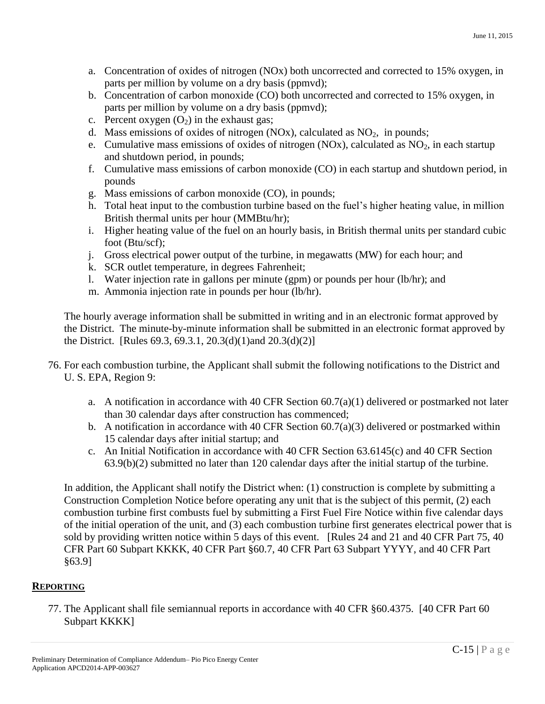- a. Concentration of oxides of nitrogen (NOx) both uncorrected and corrected to 15% oxygen, in parts per million by volume on a dry basis (ppmvd);
- b. Concentration of carbon monoxide (CO) both uncorrected and corrected to 15% oxygen, in parts per million by volume on a dry basis (ppmvd);
- c. Percent oxygen  $(O_2)$  in the exhaust gas;
- d. Mass emissions of oxides of nitrogen  $(NOx)$ , calculated as  $NO<sub>2</sub>$ , in pounds;
- e. Cumulative mass emissions of oxides of nitrogen (NOx), calculated as  $NO<sub>2</sub>$ , in each startup and shutdown period, in pounds;
- f. Cumulative mass emissions of carbon monoxide (CO) in each startup and shutdown period, in pounds
- g. Mass emissions of carbon monoxide (CO), in pounds;
- h. Total heat input to the combustion turbine based on the fuel's higher heating value, in million British thermal units per hour (MMBtu/hr);
- i. Higher heating value of the fuel on an hourly basis, in British thermal units per standard cubic foot (Btu/scf);
- j. Gross electrical power output of the turbine, in megawatts (MW) for each hour; and
- k. SCR outlet temperature, in degrees Fahrenheit;
- l. Water injection rate in gallons per minute (gpm) or pounds per hour (lb/hr); and
- m. Ammonia injection rate in pounds per hour (lb/hr).

The hourly average information shall be submitted in writing and in an electronic format approved by the District. The minute-by-minute information shall be submitted in an electronic format approved by the District. [Rules 69.3, 69.3.1, 20.3(d)(1)and 20.3(d)(2)]

- 76. For each combustion turbine, the Applicant shall submit the following notifications to the District and U. S. EPA, Region 9:
	- a. A notification in accordance with 40 CFR Section 60.7(a)(1) delivered or postmarked not later than 30 calendar days after construction has commenced;
	- b. A notification in accordance with 40 CFR Section  $60.7(a)(3)$  delivered or postmarked within 15 calendar days after initial startup; and
	- c. An Initial Notification in accordance with 40 CFR Section 63.6145(c) and 40 CFR Section 63.9(b)(2) submitted no later than 120 calendar days after the initial startup of the turbine.

In addition, the Applicant shall notify the District when: (1) construction is complete by submitting a Construction Completion Notice before operating any unit that is the subject of this permit, (2) each combustion turbine first combusts fuel by submitting a First Fuel Fire Notice within five calendar days of the initial operation of the unit, and (3) each combustion turbine first generates electrical power that is sold by providing written notice within 5 days of this event. [Rules 24 and 21 and 40 CFR Part 75, 40 CFR Part 60 Subpart KKKK, 40 CFR Part §60.7, 40 CFR Part 63 Subpart YYYY, and 40 CFR Part §63.9]

#### **REPORTING**

77. The Applicant shall file semiannual reports in accordance with 40 CFR §60.4375. [40 CFR Part 60 Subpart KKKK]